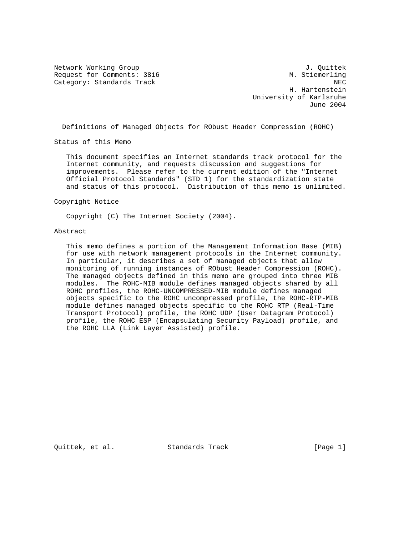Network Working Group J. Quittek Request for Comments: 3816 M. Stiemerling Category: Standards Track NEC

 H. Hartenstein University of Karlsruhe June 2004

Definitions of Managed Objects for RObust Header Compression (ROHC)

Status of this Memo

 This document specifies an Internet standards track protocol for the Internet community, and requests discussion and suggestions for improvements. Please refer to the current edition of the "Internet Official Protocol Standards" (STD 1) for the standardization state and status of this protocol. Distribution of this memo is unlimited.

Copyright Notice

Copyright (C) The Internet Society (2004).

## Abstract

 This memo defines a portion of the Management Information Base (MIB) for use with network management protocols in the Internet community. In particular, it describes a set of managed objects that allow monitoring of running instances of RObust Header Compression (ROHC). The managed objects defined in this memo are grouped into three MIB modules. The ROHC-MIB module defines managed objects shared by all ROHC profiles, the ROHC-UNCOMPRESSED-MIB module defines managed objects specific to the ROHC uncompressed profile, the ROHC-RTP-MIB module defines managed objects specific to the ROHC RTP (Real-Time Transport Protocol) profile, the ROHC UDP (User Datagram Protocol) profile, the ROHC ESP (Encapsulating Security Payload) profile, and the ROHC LLA (Link Layer Assisted) profile.

Quittek, et al. Standards Track [Page 1]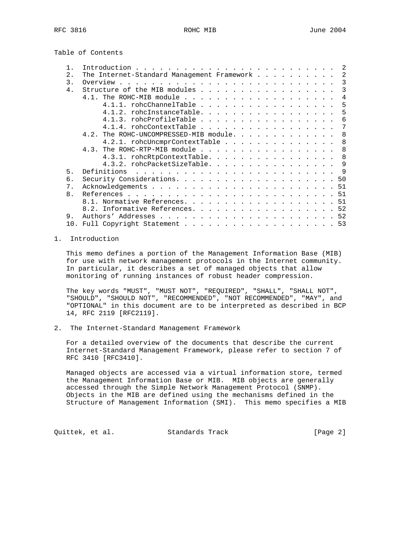Table of Contents

|                | 2                                                                                                                                                                                                                                                                                                                                                                                                             |
|----------------|---------------------------------------------------------------------------------------------------------------------------------------------------------------------------------------------------------------------------------------------------------------------------------------------------------------------------------------------------------------------------------------------------------------|
| 2.             | The Internet-Standard Management Framework<br>2                                                                                                                                                                                                                                                                                                                                                               |
| 3.             | 3                                                                                                                                                                                                                                                                                                                                                                                                             |
| 4.             | Structure of the MIB modules<br>3                                                                                                                                                                                                                                                                                                                                                                             |
|                | 4                                                                                                                                                                                                                                                                                                                                                                                                             |
|                | 4.1.1. rohcChannelTable<br>-5                                                                                                                                                                                                                                                                                                                                                                                 |
|                | 4.1.2. rohcInstanceTable.<br>5                                                                                                                                                                                                                                                                                                                                                                                |
|                | 4.1.3. rohcProfileTable<br>6                                                                                                                                                                                                                                                                                                                                                                                  |
|                | 7<br>4.1.4. rohcContextTable                                                                                                                                                                                                                                                                                                                                                                                  |
|                | 4.2. The ROHC-UNCOMPRESSED-MIB module.<br>8                                                                                                                                                                                                                                                                                                                                                                   |
|                | 4.2.1. rohcUncmprContextTable<br>8                                                                                                                                                                                                                                                                                                                                                                            |
|                | 8<br>4.3. The ROHC-RTP-MIB module                                                                                                                                                                                                                                                                                                                                                                             |
|                | 8<br>4.3.1. rohcRtpContextTable.                                                                                                                                                                                                                                                                                                                                                                              |
|                | 4.3.2. rohcPacketSizeTable.<br>9                                                                                                                                                                                                                                                                                                                                                                              |
| 5.             | Definitions<br>- 9<br>$\mathbf{1}^{(1)} \mathbf{1}^{(2)} \mathbf{1}^{(3)} \mathbf{1}^{(4)} \mathbf{1}^{(5)} \mathbf{1}^{(6)} \mathbf{1}^{(6)} \mathbf{1}^{(6)} \mathbf{1}^{(6)} \mathbf{1}^{(6)} \mathbf{1}^{(6)} \mathbf{1}^{(6)} \mathbf{1}^{(6)} \mathbf{1}^{(6)} \mathbf{1}^{(6)} \mathbf{1}^{(6)} \mathbf{1}^{(6)} \mathbf{1}^{(6)} \mathbf{1}^{(6)} \mathbf{1}^{(6)} \mathbf{1}^{(6)} \mathbf{1}^{(6)}$ |
| 6.             |                                                                                                                                                                                                                                                                                                                                                                                                               |
| $7$ .          |                                                                                                                                                                                                                                                                                                                                                                                                               |
| 8 <sub>1</sub> |                                                                                                                                                                                                                                                                                                                                                                                                               |
|                | 8.1. Normative References. 51                                                                                                                                                                                                                                                                                                                                                                                 |
|                | 8.2. Informative References. 52                                                                                                                                                                                                                                                                                                                                                                               |
| 9.             |                                                                                                                                                                                                                                                                                                                                                                                                               |
| 10.            | Full Copyright Statement 53                                                                                                                                                                                                                                                                                                                                                                                   |

## 1. Introduction

 This memo defines a portion of the Management Information Base (MIB) for use with network management protocols in the Internet community. In particular, it describes a set of managed objects that allow monitoring of running instances of robust header compression.

 The key words "MUST", "MUST NOT", "REQUIRED", "SHALL", "SHALL NOT", "SHOULD", "SHOULD NOT", "RECOMMENDED", "NOT RECOMMENDED", "MAY", and "OPTIONAL" in this document are to be interpreted as described in BCP 14, RFC 2119 [RFC2119].

2. The Internet-Standard Management Framework

 For a detailed overview of the documents that describe the current Internet-Standard Management Framework, please refer to section 7 of RFC 3410 [RFC3410].

 Managed objects are accessed via a virtual information store, termed the Management Information Base or MIB. MIB objects are generally accessed through the Simple Network Management Protocol (SNMP). Objects in the MIB are defined using the mechanisms defined in the Structure of Management Information (SMI). This memo specifies a MIB

Quittek, et al. Standards Track [Page 2]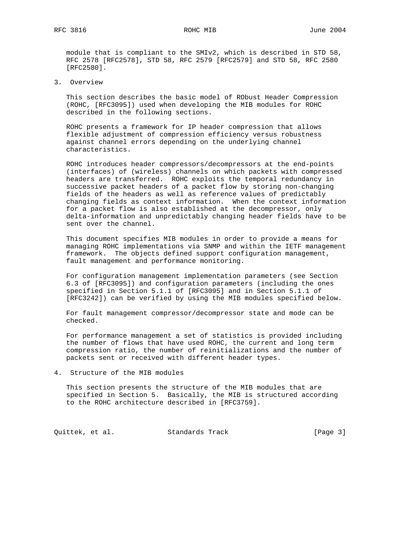module that is compliant to the SMIv2, which is described in STD 58, RFC 2578 [RFC2578], STD 58, RFC 2579 [RFC2579] and STD 58, RFC 2580 [RFC2580].

3. Overview

 This section describes the basic model of RObust Header Compression (ROHC, [RFC3095]) used when developing the MIB modules for ROHC described in the following sections.

 ROHC presents a framework for IP header compression that allows flexible adjustment of compression efficiency versus robustness against channel errors depending on the underlying channel characteristics.

 ROHC introduces header compressors/decompressors at the end-points (interfaces) of (wireless) channels on which packets with compressed headers are transferred. ROHC exploits the temporal redundancy in successive packet headers of a packet flow by storing non-changing fields of the headers as well as reference values of predictably changing fields as context information. When the context information for a packet flow is also established at the decompressor, only delta-information and unpredictably changing header fields have to be sent over the channel.

 This document specifies MIB modules in order to provide a means for managing ROHC implementations via SNMP and within the IETF management framework. The objects defined support configuration management, fault management and performance monitoring.

 For configuration management implementation parameters (see Section 6.3 of [RFC3095]) and configuration parameters (including the ones specified in Section 5.1.1 of [RFC3095] and in Section 5.1.1 of [RFC3242]) can be verified by using the MIB modules specified below.

 For fault management compressor/decompressor state and mode can be checked.

 For performance management a set of statistics is provided including the number of flows that have used ROHC, the current and long term compression ratio, the number of reinitializations and the number of packets sent or received with different header types.

4. Structure of the MIB modules

 This section presents the structure of the MIB modules that are specified in Section 5. Basically, the MIB is structured according to the ROHC architecture described in [RFC3759].

Quittek, et al. Standards Track [Page 3]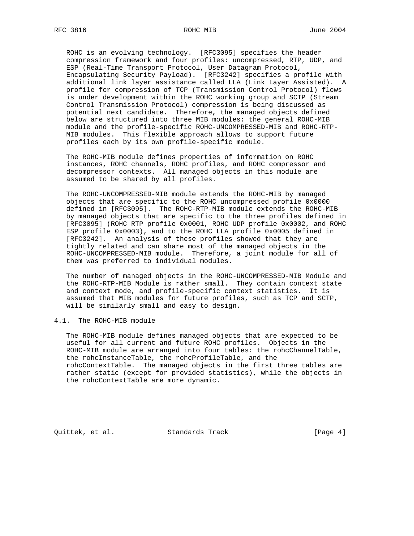ROHC is an evolving technology. [RFC3095] specifies the header compression framework and four profiles: uncompressed, RTP, UDP, and ESP (Real-Time Transport Protocol, User Datagram Protocol, Encapsulating Security Payload). [RFC3242] specifies a profile with additional link layer assistance called LLA (Link Layer Assisted). A profile for compression of TCP (Transmission Control Protocol) flows is under development within the ROHC working group and SCTP (Stream Control Transmission Protocol) compression is being discussed as potential next candidate. Therefore, the managed objects defined below are structured into three MIB modules: the general ROHC-MIB module and the profile-specific ROHC-UNCOMPRESSED-MIB and ROHC-RTP- MIB modules. This flexible approach allows to support future profiles each by its own profile-specific module.

 The ROHC-MIB module defines properties of information on ROHC instances, ROHC channels, ROHC profiles, and ROHC compressor and decompressor contexts. All managed objects in this module are assumed to be shared by all profiles.

 The ROHC-UNCOMPRESSED-MIB module extends the ROHC-MIB by managed objects that are specific to the ROHC uncompressed profile 0x0000 defined in [RFC3095]. The ROHC-RTP-MIB module extends the ROHC-MIB by managed objects that are specific to the three profiles defined in [RFC3095] (ROHC RTP profile 0x0001, ROHC UDP profile 0x0002, and ROHC ESP profile 0x0003), and to the ROHC LLA profile 0x0005 defined in [RFC3242]. An analysis of these profiles showed that they are tightly related and can share most of the managed objects in the ROHC-UNCOMPRESSED-MIB module. Therefore, a joint module for all of them was preferred to individual modules.

 The number of managed objects in the ROHC-UNCOMPRESSED-MIB Module and the ROHC-RTP-MIB Module is rather small. They contain context state and context mode, and profile-specific context statistics. It is assumed that MIB modules for future profiles, such as TCP and SCTP, will be similarly small and easy to design.

### 4.1. The ROHC-MIB module

 The ROHC-MIB module defines managed objects that are expected to be useful for all current and future ROHC profiles. Objects in the ROHC-MIB module are arranged into four tables: the rohcChannelTable, the rohcInstanceTable, the rohcProfileTable, and the rohcContextTable. The managed objects in the first three tables are rather static (except for provided statistics), while the objects in the rohcContextTable are more dynamic.

Quittek, et al. Standards Track [Page 4]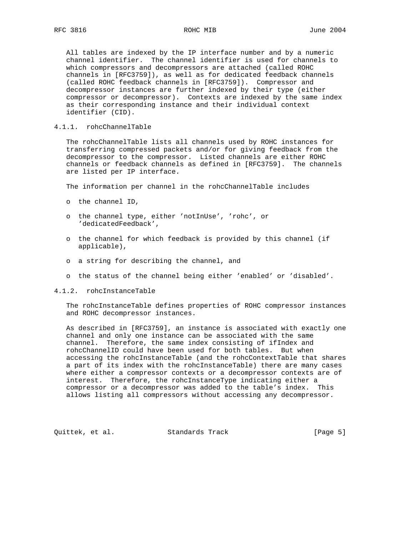All tables are indexed by the IP interface number and by a numeric channel identifier. The channel identifier is used for channels to which compressors and decompressors are attached (called ROHC channels in [RFC3759]), as well as for dedicated feedback channels (called ROHC feedback channels in [RFC3759]). Compressor and decompressor instances are further indexed by their type (either compressor or decompressor). Contexts are indexed by the same index as their corresponding instance and their individual context identifier (CID).

## 4.1.1. rohcChannelTable

 The rohcChannelTable lists all channels used by ROHC instances for transferring compressed packets and/or for giving feedback from the decompressor to the compressor. Listed channels are either ROHC channels or feedback channels as defined in [RFC3759]. The channels are listed per IP interface.

The information per channel in the rohcChannelTable includes

- o the channel ID,
- o the channel type, either 'notInUse', 'rohc', or 'dedicatedFeedback',
- o the channel for which feedback is provided by this channel (if applicable),
- o a string for describing the channel, and
- o the status of the channel being either 'enabled' or 'disabled'.

### 4.1.2. rohcInstanceTable

 The rohcInstanceTable defines properties of ROHC compressor instances and ROHC decompressor instances.

 As described in [RFC3759], an instance is associated with exactly one channel and only one instance can be associated with the same channel. Therefore, the same index consisting of ifIndex and rohcChannelID could have been used for both tables. But when accessing the rohcInstanceTable (and the rohcContextTable that shares a part of its index with the rohcInstanceTable) there are many cases where either a compressor contexts or a decompressor contexts are of interest. Therefore, the rohcInstanceType indicating either a compressor or a decompressor was added to the table's index. This allows listing all compressors without accessing any decompressor.

Quittek, et al. Standards Track [Page 5]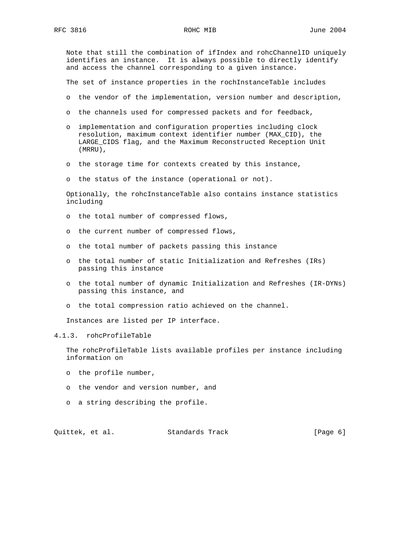Note that still the combination of ifIndex and rohcChannelID uniquely identifies an instance. It is always possible to directly identify and access the channel corresponding to a given instance.

The set of instance properties in the rochInstanceTable includes

- o the vendor of the implementation, version number and description,
- o the channels used for compressed packets and for feedback,
- o implementation and configuration properties including clock resolution, maximum context identifier number (MAX\_CID), the LARGE\_CIDS flag, and the Maximum Reconstructed Reception Unit (MRRU),
- o the storage time for contexts created by this instance,
- o the status of the instance (operational or not).

 Optionally, the rohcInstanceTable also contains instance statistics including

- o the total number of compressed flows,
- o the current number of compressed flows,
- o the total number of packets passing this instance
- o the total number of static Initialization and Refreshes (IRs) passing this instance
- o the total number of dynamic Initialization and Refreshes (IR-DYNs) passing this instance, and
- o the total compression ratio achieved on the channel.

Instances are listed per IP interface.

# 4.1.3. rohcProfileTable

 The rohcProfileTable lists available profiles per instance including information on

- o the profile number,
- o the vendor and version number, and
- o a string describing the profile.

Quittek, et al. Standards Track [Page 6]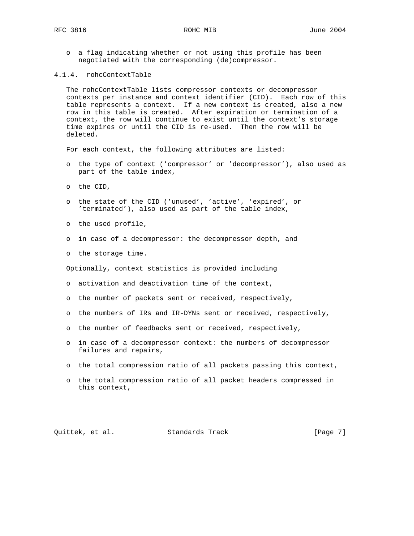o a flag indicating whether or not using this profile has been negotiated with the corresponding (de)compressor.

### 4.1.4. rohcContextTable

 The rohcContextTable lists compressor contexts or decompressor contexts per instance and context identifier (CID). Each row of this table represents a context. If a new context is created, also a new row in this table is created. After expiration or termination of a context, the row will continue to exist until the context's storage time expires or until the CID is re-used. Then the row will be deleted.

For each context, the following attributes are listed:

- o the type of context ('compressor' or 'decompressor'), also used as part of the table index,
- o the CID,
- o the state of the CID ('unused', 'active', 'expired', or 'terminated'), also used as part of the table index,
- o the used profile,
- o in case of a decompressor: the decompressor depth, and
- o the storage time.

Optionally, context statistics is provided including

- o activation and deactivation time of the context,
- o the number of packets sent or received, respectively,
- o the numbers of IRs and IR-DYNs sent or received, respectively,
- o the number of feedbacks sent or received, respectively,
- o in case of a decompressor context: the numbers of decompressor failures and repairs,
- o the total compression ratio of all packets passing this context,
- o the total compression ratio of all packet headers compressed in this context,

Quittek, et al. Standards Track [Page 7]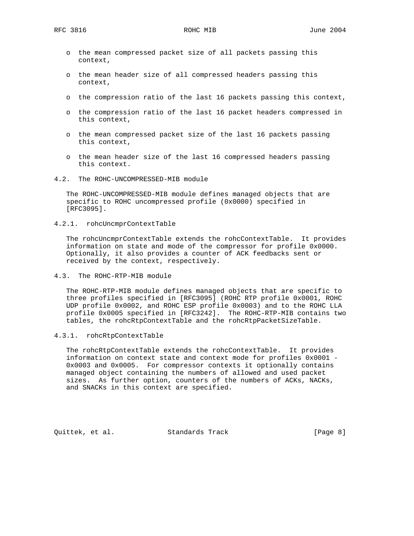- o the mean compressed packet size of all packets passing this context,
- o the mean header size of all compressed headers passing this context,
- o the compression ratio of the last 16 packets passing this context,
- o the compression ratio of the last 16 packet headers compressed in this context,
- o the mean compressed packet size of the last 16 packets passing this context,
- o the mean header size of the last 16 compressed headers passing this context.
- 4.2. The ROHC-UNCOMPRESSED-MIB module

 The ROHC-UNCOMPRESSED-MIB module defines managed objects that are specific to ROHC uncompressed profile (0x0000) specified in [RFC3095].

4.2.1. rohcUncmprContextTable

 The rohcUncmprContextTable extends the rohcContextTable. It provides information on state and mode of the compressor for profile 0x0000. Optionally, it also provides a counter of ACK feedbacks sent or received by the context, respectively.

4.3. The ROHC-RTP-MIB module

 The ROHC-RTP-MIB module defines managed objects that are specific to three profiles specified in [RFC3095] (ROHC RTP profile 0x0001, ROHC UDP profile 0x0002, and ROHC ESP profile 0x0003) and to the ROHC LLA profile 0x0005 specified in [RFC3242]. The ROHC-RTP-MIB contains two tables, the rohcRtpContextTable and the rohcRtpPacketSizeTable.

4.3.1. rohcRtpContextTable

 The rohcRtpContextTable extends the rohcContextTable. It provides information on context state and context mode for profiles 0x0001 - 0x0003 and 0x0005. For compressor contexts it optionally contains managed object containing the numbers of allowed and used packet sizes. As further option, counters of the numbers of ACKs, NACKs, and SNACKs in this context are specified.

Quittek, et al. Standards Track [Page 8]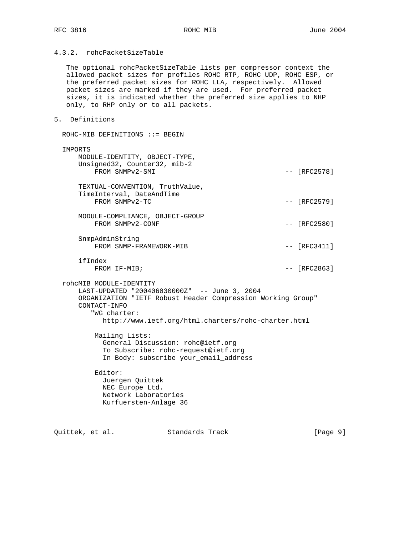# 4.3.2. rohcPacketSizeTable

 The optional rohcPacketSizeTable lists per compressor context the allowed packet sizes for profiles ROHC RTP, ROHC UDP, ROHC ESP, or the preferred packet sizes for ROHC LLA, respectively. Allowed packet sizes are marked if they are used. For preferred packet sizes, it is indicated whether the preferred size applies to NHP only, to RHP only or to all packets.

## 5. Definitions

 ROHC-MIB DEFINITIONS ::= BEGIN IMPORTS MODULE-IDENTITY, OBJECT-TYPE, Unsigned32, Counter32, mib-2 FROM SNMPv2-SMI  $---$  [RFC2578] TEXTUAL-CONVENTION, TruthValue, TimeInterval, DateAndTime FROM SNMPv2-TC  $-$  [RFC2579] MODULE-COMPLIANCE, OBJECT-GROUP FROM SNMPv2-CONF  $---$  [RFC2580] SnmpAdminString FROM SNMP-FRAMEWORK-MIB  $-$  [RFC3411] ifIndex FROM IF-MIB;  $-$  [RFC2863] rohcMIB MODULE-IDENTITY LAST-UPDATED "200406030000Z" -- June 3, 2004 ORGANIZATION "IETF Robust Header Compression Working Group" CONTACT-INFO "WG charter: http://www.ietf.org/html.charters/rohc-charter.html Mailing Lists: General Discussion: rohc@ietf.org To Subscribe: rohc-request@ietf.org In Body: subscribe your\_email\_address Editor: Juergen Quittek NEC Europe Ltd. Network Laboratories Kurfuersten-Anlage 36

Quittek, et al. Standards Track [Page 9]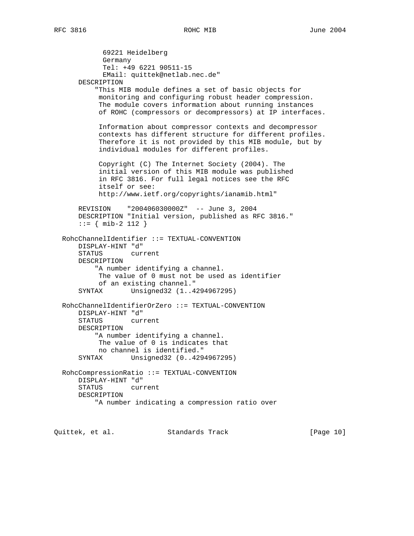69221 Heidelberg Germany Tel: +49 6221 90511-15 EMail: quittek@netlab.nec.de" DESCRIPTION "This MIB module defines a set of basic objects for monitoring and configuring robust header compression. The module covers information about running instances of ROHC (compressors or decompressors) at IP interfaces. Information about compressor contexts and decompressor contexts has different structure for different profiles. Therefore it is not provided by this MIB module, but by individual modules for different profiles. Copyright (C) The Internet Society (2004). The initial version of this MIB module was published in RFC 3816. For full legal notices see the RFC itself or see: http://www.ietf.org/copyrights/ianamib.html" REVISION "200406030000Z" -- June 3, 2004 DESCRIPTION "Initial version, published as RFC 3816." ::= { mib-2 112 } RohcChannelIdentifier ::= TEXTUAL-CONVENTION DISPLAY-HINT "d" STATUS current DESCRIPTION "A number identifying a channel. The value of 0 must not be used as identifier of an existing channel." SYNTAX Unsigned32 (1..4294967295) RohcChannelIdentifierOrZero ::= TEXTUAL-CONVENTION DISPLAY-HINT "d" STATUS current DESCRIPTION "A number identifying a channel. The value of 0 is indicates that no channel is identified." SYNTAX Unsigned32 (0..4294967295) RohcCompressionRatio ::= TEXTUAL-CONVENTION DISPLAY-HINT "d" STATUS current DESCRIPTION "A number indicating a compression ratio over

Quittek, et al. Standards Track [Page 10]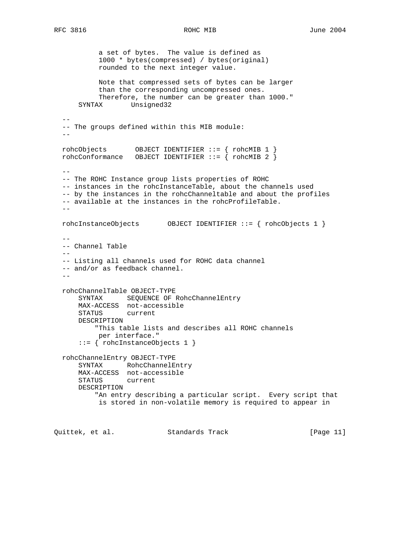a set of bytes. The value is defined as 1000 \* bytes(compressed) / bytes(original) rounded to the next integer value. Note that compressed sets of bytes can be larger than the corresponding uncompressed ones. Therefore, the number can be greater than 1000." SYNTAX Unsigned32  $-$  -- The groups defined within this MIB module:  $$  rohcObjects OBJECT IDENTIFIER ::= { rohcMIB 1 } rohcConformance OBJECT IDENTIFIER ::= { rohcMIB 2 }  $-$  -- The ROHC Instance group lists properties of ROHC -- instances in the rohcInstanceTable, about the channels used -- by the instances in the rohcChanneltable and about the profiles -- available at the instances in the rohcProfileTable.  $$  rohcInstanceObjects OBJECT IDENTIFIER ::= { rohcObjects 1 }  $-$  -- Channel Table  $-$  -- Listing all channels used for ROHC data channel -- and/or as feedback channel.  $$  rohcChannelTable OBJECT-TYPE SYNTAX SEQUENCE OF RohcChannelEntry MAX-ACCESS not-accessible STATUS current DESCRIPTION "This table lists and describes all ROHC channels per interface." ::= { rohcInstanceObjects 1 } rohcChannelEntry OBJECT-TYPE SYNTAX RohcChannelEntry MAX-ACCESS not-accessible STATUS current DESCRIPTION "An entry describing a particular script. Every script that is stored in non-volatile memory is required to appear in Quittek, et al. Standards Track [Page 11]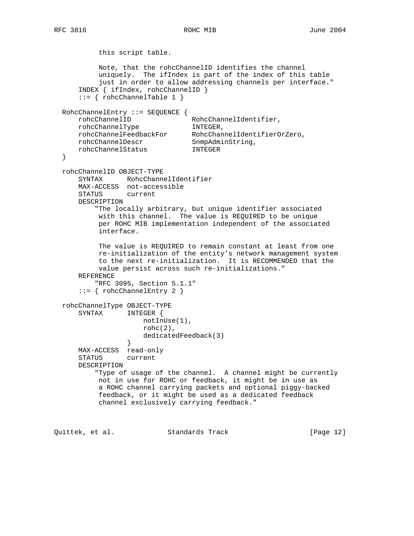RFC 3816 ROHC MIB June 2004

 this script table. Note, that the rohcChannelID identifies the channel uniquely. The ifIndex is part of the index of this table just in order to allow addressing channels per interface." INDEX { ifIndex, rohcChannelID }  $::= \{ rohcChannelTable 1 \}$  RohcChannelEntry ::= SEQUENCE { rohcChannelID RohcChannelIdentifier, rohcChannelType INTEGER, rohcChannelFeedbackFor RohcChannelIdentifierOrZero, rohcChannelDescr SnmpAdminString, rohcChannelStatus INTEGER } rohcChannelID OBJECT-TYPE SYNTAX RohcChannelIdentifier MAX-ACCESS not-accessible STATUS current DESCRIPTION "The locally arbitrary, but unique identifier associated with this channel. The value is REQUIRED to be unique per ROHC MIB implementation independent of the associated interface. The value is REQUIRED to remain constant at least from one re-initialization of the entity's network management system to the next re-initialization. It is RECOMMENDED that the value persist across such re-initializations." REFERENCE "RFC 3095, Section 5.1.1" ::= { rohcChannelEntry 2 } rohcChannelType OBJECT-TYPE SYNTAX INTEGER { notInUse(1), rohc $(2)$ , dedicatedFeedback(3) } MAX-ACCESS read-only STATUS current DESCRIPTION "Type of usage of the channel. A channel might be currently not in use for ROHC or feedback, it might be in use as a ROHC channel carrying packets and optional piggy-backed feedback, or it might be used as a dedicated feedback channel exclusively carrying feedback."

Quittek, et al. Standards Track [Page 12]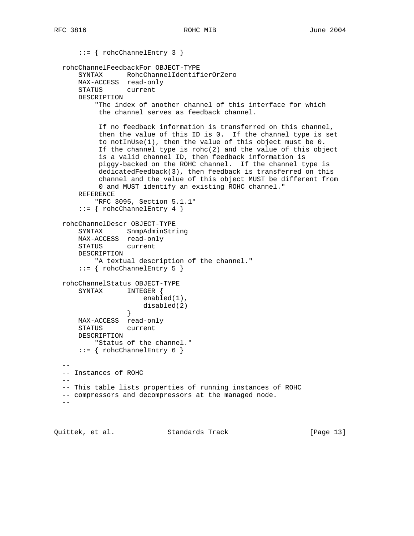```
 ::= { rohcChannelEntry 3 }
  rohcChannelFeedbackFor OBJECT-TYPE
      SYNTAX RohcChannelIdentifierOrZero
      MAX-ACCESS read-only
      STATUS current
      DESCRIPTION
          "The index of another channel of this interface for which
           the channel serves as feedback channel.
           If no feedback information is transferred on this channel,
           then the value of this ID is 0. If the channel type is set
           to notInUse(1), then the value of this object must be 0.
          If the channel type is \text{rohc}(2) and the value of this object
           is a valid channel ID, then feedback information is
           piggy-backed on the ROHC channel. If the channel type is
           dedicatedFeedback(3), then feedback is transferred on this
           channel and the value of this object MUST be different from
           0 and MUST identify an existing ROHC channel."
      REFERENCE
          "RFC 3095, Section 5.1.1"
      ::= { rohcChannelEntry 4 }
  rohcChannelDescr OBJECT-TYPE
      SYNTAX SnmpAdminString
      MAX-ACCESS read-only
      STATUS current
      DESCRIPTION
          "A textual description of the channel."
      ::= { rohcChannelEntry 5 }
  rohcChannelStatus OBJECT-TYPE
      SYNTAX INTEGER {
                      enabled(1),
                 disabled(2)<br>}
 }
      MAX-ACCESS read-only
      STATUS current
      DESCRIPTION
         "Status of the channel."
     ::= \{ rohcChannelEntry 6 \}- - -- Instances of ROHC
 - -- This table lists properties of running instances of ROHC
  -- compressors and decompressors at the managed node.
 -1
```
Quittek, et al. Standards Track [Page 13]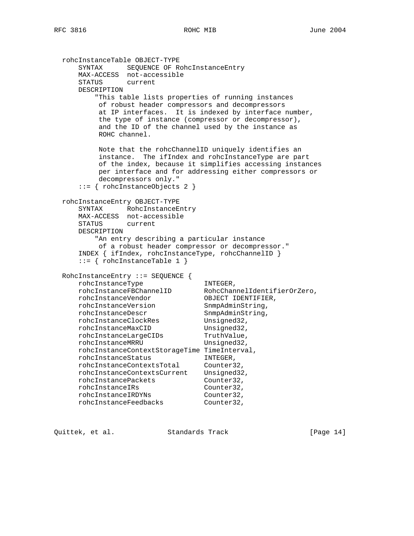```
 rohcInstanceTable OBJECT-TYPE
 SYNTAX SEQUENCE OF RohcInstanceEntry
 MAX-ACCESS not-accessible
     STATUS current
     DESCRIPTION
         "This table lists properties of running instances
          of robust header compressors and decompressors
          at IP interfaces. It is indexed by interface number,
          the type of instance (compressor or decompressor),
          and the ID of the channel used by the instance as
          ROHC channel.
          Note that the rohcChannelID uniquely identifies an
          instance. The ifIndex and rohcInstanceType are part
          of the index, because it simplifies accessing instances
          per interface and for addressing either compressors or
          decompressors only."
      ::= { rohcInstanceObjects 2 }
  rohcInstanceEntry OBJECT-TYPE
      SYNTAX RohcInstanceEntry
     MAX-ACCESS not-accessible
     STATUS current
     DESCRIPTION
         "An entry describing a particular instance
         of a robust header compressor or decompressor."
      INDEX { ifIndex, rohcInstanceType, rohcChannelID }
     ::= { rohcInstanceTable 1 }
 RohcInstanceEntry ::= SEQUENCE {
rohcInstanceType INTEGER,
 rohcInstanceFBChannelID RohcChannelIdentifierOrZero,
 rohcInstanceVendor OBJECT IDENTIFIER,
rohcInstanceVersion SnmpAdminString,
rohcInstanceDescr SnmpAdminString,
rohcInstanceClockRes Unsigned32,
rohcInstanceMaxCID Unsigned32,
rohcInstanceLargeCIDs TruthValue,
rohcInstanceMRRU Unsigned32,
     rohcInstanceContextStorageTime TimeInterval,
     rohcInstanceStatus INTEGER,
 rohcInstanceContextsTotal Counter32,
 rohcInstanceContextsCurrent Unsigned32,
rohcInstancePackets Counter32,
rohcInstanceIRs Counter32,
 rohcInstanceIRDYNs Counter32,
 rohcInstanceFeedbacks Counter32,
```
Quittek, et al. Standards Track [Page 14]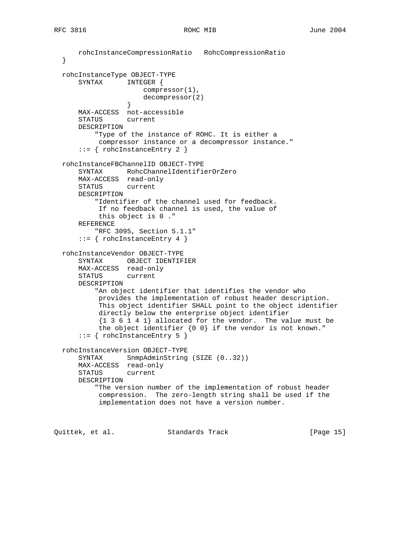```
 rohcInstanceCompressionRatio RohcCompressionRatio
  }
  rohcInstanceType OBJECT-TYPE
      SYNTAX INTEGER {
                     compressor(1),
                 decompressor(2)<br>}
 }
      MAX-ACCESS not-accessible
      STATUS current
      DESCRIPTION
          "Type of the instance of ROHC. It is either a
           compressor instance or a decompressor instance."
     ::= { rohcInstanceEntry 2 }
  rohcInstanceFBChannelID OBJECT-TYPE
      SYNTAX RohcChannelIdentifierOrZero
      MAX-ACCESS read-only
      STATUS current
      DESCRIPTION
          "Identifier of the channel used for feedback.
           If no feedback channel is used, the value of
           this object is 0 ."
      REFERENCE
          "RFC 3095, Section 5.1.1"
     ::= { rohcInstanceEntry 4 }
  rohcInstanceVendor OBJECT-TYPE
 SYNTAX OBJECT IDENTIFIER
 MAX-ACCESS read-only
      STATUS current
      DESCRIPTION
          "An object identifier that identifies the vendor who
           provides the implementation of robust header description.
           This object identifier SHALL point to the object identifier
           directly below the enterprise object identifier
           {1 3 6 1 4 1} allocated for the vendor. The value must be
           the object identifier {0 0} if the vendor is not known."
      ::= { rohcInstanceEntry 5 }
  rohcInstanceVersion OBJECT-TYPE
     SYNTAX SnmpAdminString (SIZE (0..32))
      MAX-ACCESS read-only
      STATUS current
      DESCRIPTION
          "The version number of the implementation of robust header
           compression. The zero-length string shall be used if the
           implementation does not have a version number.
```
Quittek, et al. Standards Track [Page 15]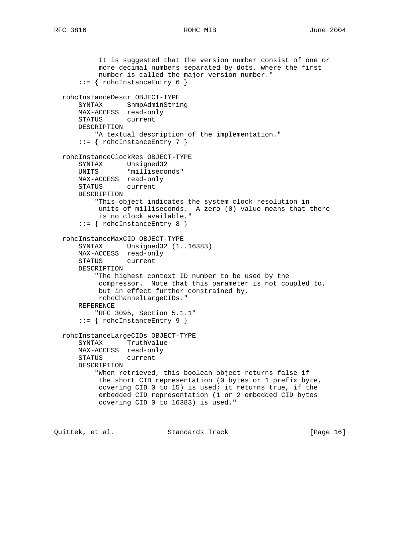```
 It is suggested that the version number consist of one or
           more decimal numbers separated by dots, where the first
           number is called the major version number."
     ::= { rohcInstanceEntry 6 }
  rohcInstanceDescr OBJECT-TYPE
      SYNTAX SnmpAdminString
      MAX-ACCESS read-only
      STATUS current
      DESCRIPTION
         "A textual description of the implementation."
      ::= { rohcInstanceEntry 7 }
  rohcInstanceClockRes OBJECT-TYPE
 SYNTAX Unsigned32
 UNITS "milliseconds"
      MAX-ACCESS read-only
      STATUS current
      DESCRIPTION
          "This object indicates the system clock resolution in
           units of milliseconds. A zero (0) value means that there
           is no clock available."
      ::= { rohcInstanceEntry 8 }
  rohcInstanceMaxCID OBJECT-TYPE
 SYNTAX Unsigned32 (1..16383)
 MAX-ACCESS read-only
      STATUS current
      DESCRIPTION
          "The highest context ID number to be used by the
           compressor. Note that this parameter is not coupled to,
           but in effect further constrained by,
           rohcChannelLargeCIDs."
      REFERENCE
          "RFC 3095, Section 5.1.1"
      ::= { rohcInstanceEntry 9 }
  rohcInstanceLargeCIDs OBJECT-TYPE
      SYNTAX TruthValue
      MAX-ACCESS read-only
      STATUS current
      DESCRIPTION
          "When retrieved, this boolean object returns false if
           the short CID representation (0 bytes or 1 prefix byte,
           covering CID 0 to 15) is used; it returns true, if the
           embedded CID representation (1 or 2 embedded CID bytes
           covering CID 0 to 16383) is used."
```
Quittek, et al. Standards Track [Page 16]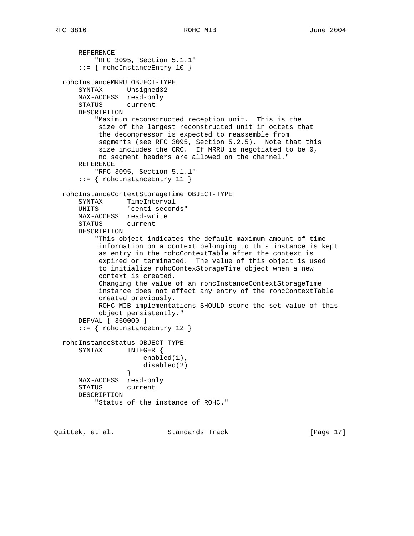```
 REFERENCE
          "RFC 3095, Section 5.1.1"
      ::= { rohcInstanceEntry 10 }
  rohcInstanceMRRU OBJECT-TYPE
      SYNTAX Unsigned32
      MAX-ACCESS read-only
      STATUS current
      DESCRIPTION
          "Maximum reconstructed reception unit. This is the
           size of the largest reconstructed unit in octets that
           the decompressor is expected to reassemble from
           segments (see RFC 3095, Section 5.2.5). Note that this
           size includes the CRC. If MRRU is negotiated to be 0,
           no segment headers are allowed on the channel."
      REFERENCE
          "RFC 3095, Section 5.1.1"
      ::= { rohcInstanceEntry 11 }
  rohcInstanceContextStorageTime OBJECT-TYPE
      SYNTAX TimeInterval
      UNITS "centi-seconds"
      MAX-ACCESS read-write
      STATUS current
      DESCRIPTION
          "This object indicates the default maximum amount of time
           information on a context belonging to this instance is kept
           as entry in the rohcContextTable after the context is
           expired or terminated. The value of this object is used
           to initialize rohcContexStorageTime object when a new
           context is created.
           Changing the value of an rohcInstanceContextStorageTime
           instance does not affect any entry of the rohcContextTable
           created previously.
           ROHC-MIB implementations SHOULD store the set value of this
           object persistently."
      DEFVAL { 360000 }
      ::= { rohcInstanceEntry 12 }
  rohcInstanceStatus OBJECT-TYPE
      SYNTAX INTEGER {
                      enabled(1),
                 disabled(2) \} }
      MAX-ACCESS read-only
      STATUS current
      DESCRIPTION
           "Status of the instance of ROHC."
```
Quittek, et al. Standards Track [Page 17]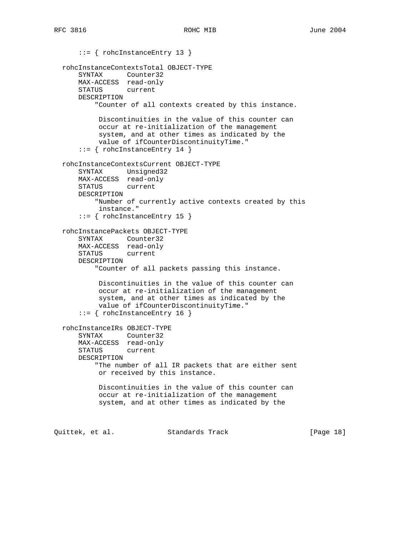```
 ::= { rohcInstanceEntry 13 }
  rohcInstanceContextsTotal OBJECT-TYPE
      SYNTAX Counter32
      MAX-ACCESS read-only
      STATUS current
      DESCRIPTION
          "Counter of all contexts created by this instance.
           Discontinuities in the value of this counter can
           occur at re-initialization of the management
           system, and at other times as indicated by the
           value of ifCounterDiscontinuityTime."
      ::= { rohcInstanceEntry 14 }
  rohcInstanceContextsCurrent OBJECT-TYPE
      SYNTAX Unsigned32
      MAX-ACCESS read-only
      STATUS current
      DESCRIPTION
          "Number of currently active contexts created by this
           instance."
       ::= { rohcInstanceEntry 15 }
  rohcInstancePackets OBJECT-TYPE
 SYNTAX Counter32
 MAX-ACCESS read-only
      STATUS current
      DESCRIPTION
          "Counter of all packets passing this instance.
           Discontinuities in the value of this counter can
           occur at re-initialization of the management
           system, and at other times as indicated by the
           value of ifCounterDiscontinuityTime."
       ::= { rohcInstanceEntry 16 }
  rohcInstanceIRs OBJECT-TYPE
      SYNTAX Counter32
      MAX-ACCESS read-only
      STATUS current
      DESCRIPTION
          "The number of all IR packets that are either sent
           or received by this instance.
           Discontinuities in the value of this counter can
           occur at re-initialization of the management
           system, and at other times as indicated by the
Quittek, et al. Standards Track [Page 18]
```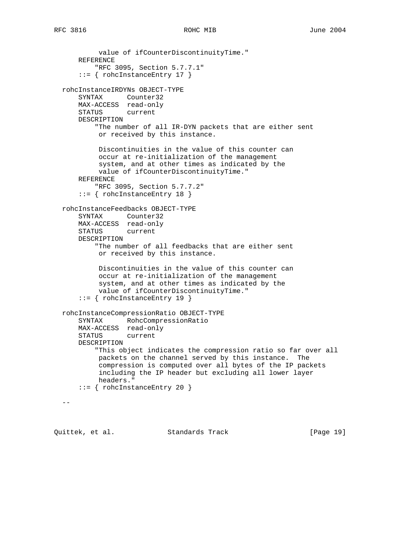```
 value of ifCounterDiscontinuityTime."
    REFERENCE
         "RFC 3095, Section 5.7.7.1"
     ::= { rohcInstanceEntry 17 }
 rohcInstanceIRDYNs OBJECT-TYPE
    SYNTAX Counter32
    MAX-ACCESS read-only
    STATUS current
    DESCRIPTION
         "The number of all IR-DYN packets that are either sent
         or received by this instance.
         Discontinuities in the value of this counter can
          occur at re-initialization of the management
          system, and at other times as indicated by the
         value of ifCounterDiscontinuityTime."
    REFERENCE
        "RFC 3095, Section 5.7.7.2"
    ::= { rohcInstanceEntry 18 }
 rohcInstanceFeedbacks OBJECT-TYPE
    SYNTAX Counter32
    MAX-ACCESS read-only
    STATUS current
    DESCRIPTION
         "The number of all feedbacks that are either sent
         or received by this instance.
         Discontinuities in the value of this counter can
          occur at re-initialization of the management
          system, and at other times as indicated by the
         value of ifCounterDiscontinuityTime."
     ::= { rohcInstanceEntry 19 }
 rohcInstanceCompressionRatio OBJECT-TYPE
     SYNTAX RohcCompressionRatio
    MAX-ACCESS read-only
     STATUS current
    DESCRIPTION
         "This object indicates the compression ratio so far over all
         packets on the channel served by this instance. The
          compression is computed over all bytes of the IP packets
          including the IP header but excluding all lower layer
         headers."
     ::= { rohcInstanceEntry 20 }
-
```
Quittek, et al. Standards Track [Page 19]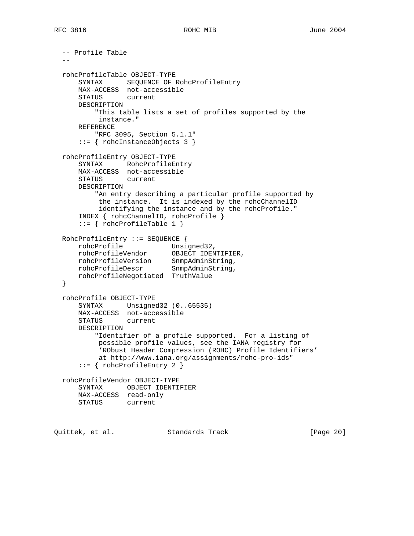```
 -- Profile Table
 - - rohcProfileTable OBJECT-TYPE
      SYNTAX SEQUENCE OF RohcProfileEntry
      MAX-ACCESS not-accessible
      STATUS current
      DESCRIPTION
          "This table lists a set of profiles supported by the
          instance."
      REFERENCE
         "RFC 3095, Section 5.1.1"
      ::= { rohcInstanceObjects 3 }
  rohcProfileEntry OBJECT-TYPE
      SYNTAX RohcProfileEntry
      MAX-ACCESS not-accessible
      STATUS current
      DESCRIPTION
          "An entry describing a particular profile supported by
           the instance. It is indexed by the rohcChannelID
           identifying the instance and by the rohcProfile."
      INDEX { rohcChannelID, rohcProfile }
      ::= { rohcProfileTable 1 }
  RohcProfileEntry ::= SEQUENCE {
 rohcProfile Unsigned32,
 rohcProfileVendor OBJECT IDENTIFIER,
 rohcProfileVersion SnmpAdminString,
 rohcProfileDescr SnmpAdminString,
      rohcProfileNegotiated TruthValue
  }
  rohcProfile OBJECT-TYPE
      SYNTAX Unsigned32 (0..65535)
      MAX-ACCESS not-accessible
      STATUS current
      DESCRIPTION
          "Identifier of a profile supported. For a listing of
           possible profile values, see the IANA registry for
           'RObust Header Compression (ROHC) Profile Identifiers'
           at http://www.iana.org/assignments/rohc-pro-ids"
      ::= { rohcProfileEntry 2 }
  rohcProfileVendor OBJECT-TYPE
      SYNTAX OBJECT IDENTIFIER
      MAX-ACCESS read-only
      STATUS current
```
Quittek, et al. Standards Track [Page 20]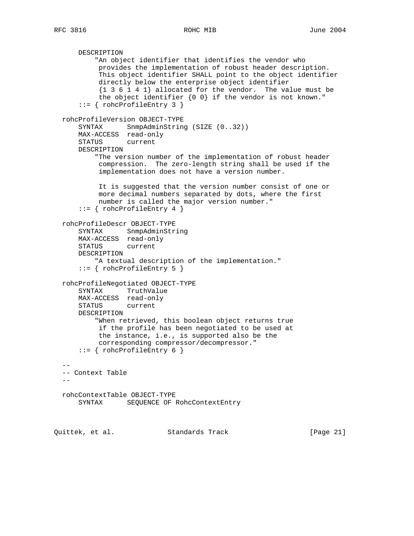```
 DESCRIPTION
           "An object identifier that identifies the vendor who
           provides the implementation of robust header description.
           This object identifier SHALL point to the object identifier
           directly below the enterprise object identifier
           {1 3 6 1 4 1} allocated for the vendor. The value must be
           the object identifier {0 0} if the vendor is not known."
      ::= { rohcProfileEntry 3 }
  rohcProfileVersion OBJECT-TYPE
     SYNTAX SnmpAdminString (SIZE (0..32))
      MAX-ACCESS read-only
      STATUS current
      DESCRIPTION
          "The version number of the implementation of robust header
           compression. The zero-length string shall be used if the
           implementation does not have a version number.
           It is suggested that the version number consist of one or
           more decimal numbers separated by dots, where the first
           number is called the major version number."
       ::= { rohcProfileEntry 4 }
  rohcProfileDescr OBJECT-TYPE
      SYNTAX SnmpAdminString
      MAX-ACCESS read-only
      STATUS current
      DESCRIPTION
          "A textual description of the implementation."
       ::= { rohcProfileEntry 5 }
  rohcProfileNegotiated OBJECT-TYPE
      SYNTAX TruthValue
      MAX-ACCESS read-only
      STATUS current
      DESCRIPTION
          "When retrieved, this boolean object returns true
           if the profile has been negotiated to be used at
           the instance, i.e., is supported also be the
           corresponding compressor/decompressor."
      ::= { rohcProfileEntry 6 }
- -- Context Table
- rohcContextTable OBJECT-TYPE
      SYNTAX SEQUENCE OF RohcContextEntry
Quittek, et al. Standards Track [Page 21]
```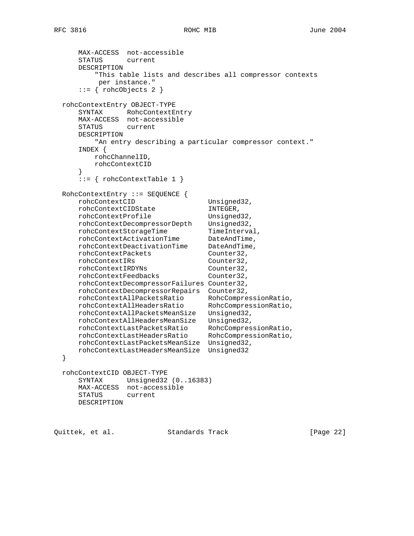```
 MAX-ACCESS not-accessible
      STATUS current
      DESCRIPTION
          "This table lists and describes all compressor contexts
          per instance."
      ::= { rohcObjects 2 }
  rohcContextEntry OBJECT-TYPE
      SYNTAX RohcContextEntry
      MAX-ACCESS not-accessible
      STATUS current
      DESCRIPTION
         "An entry describing a particular compressor context."
      INDEX {
         rohcChannelID,
         rohcContextCID
 }
      ::= { rohcContextTable 1 }
  RohcContextEntry ::= SEQUENCE {
     rohcContextCID Unsigned32,
 rohcContextCIDState INTEGER,
rohcContextProfile Unsigned32,
 rohcContextDecompressorDepth Unsigned32,
rohcContextStorageTime TimeInterval,
rohcContextActivationTime DateAndTime,
 rohcContextDeactivationTime DateAndTime,
     {\tt rohcContextPackets}\qquad\qquad {\tt Counter32}\,,\\ {\tt rohcContextIRS}\qquad\qquad {\tt Counter32}\,, rohcContextIRs Counter32,
 rohcContextIRDYNs Counter32,
 rohcContextFeedbacks Counter32,
      rohcContextDecompressorFailures Counter32,
      rohcContextDecompressorRepairs Counter32,
 rohcContextAllPacketsRatio RohcCompressionRatio,
 rohcContextAllHeadersRatio RohcCompressionRatio,
      rohcContextAllPacketsMeanSize Unsigned32,
 rohcContextAllHeadersMeanSize Unsigned32,
 rohcContextLastPacketsRatio RohcCompressionRatio,
 rohcContextLastHeadersRatio RohcCompressionRatio,
      rohcContextLastPacketsMeanSize Unsigned32,
      rohcContextLastHeadersMeanSize Unsigned32
  }
  rohcContextCID OBJECT-TYPE
      SYNTAX Unsigned32 (0..16383)
      MAX-ACCESS not-accessible
      STATUS current
      DESCRIPTION
```
Quittek, et al. Standards Track [Page 22]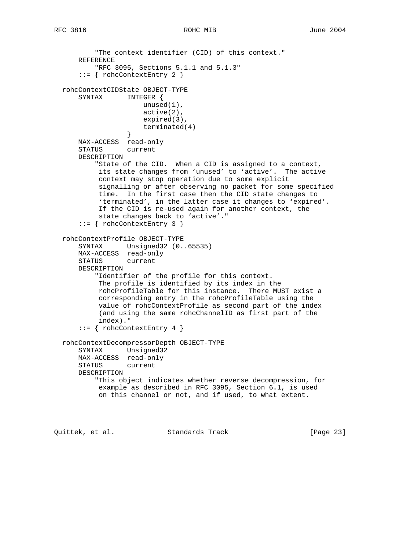```
 "The context identifier (CID) of this context."
      REFERENCE
          "RFC 3095, Sections 5.1.1 and 5.1.3"
       ::= { rohcContextEntry 2 }
  rohcContextCIDState OBJECT-TYPE
      SYNTAX INTEGER {
                     unused(1),
                      active(2),
                      expired(3),
                 terminated(4)<br>}
 }
      MAX-ACCESS read-only
      STATUS current
      DESCRIPTION
          "State of the CID. When a CID is assigned to a context,
           its state changes from 'unused' to 'active'. The active
           context may stop operation due to some explicit
           signalling or after observing no packet for some specified
           time. In the first case then the CID state changes to
           'terminated', in the latter case it changes to 'expired'.
           If the CID is re-used again for another context, the
           state changes back to 'active'."
      ::= { rohcContextEntry 3 }
  rohcContextProfile OBJECT-TYPE
 SYNTAX Unsigned32 (0..65535)
 MAX-ACCESS read-only
      STATUS current
      DESCRIPTION
          "Identifier of the profile for this context.
           The profile is identified by its index in the
           rohcProfileTable for this instance. There MUST exist a
           corresponding entry in the rohcProfileTable using the
           value of rohcContextProfile as second part of the index
           (and using the same rohcChannelID as first part of the
           index)."
     ::= { rohcContextEntry 4 }
  rohcContextDecompressorDepth OBJECT-TYPE
      SYNTAX Unsigned32
      MAX-ACCESS read-only
      STATUS current
      DESCRIPTION
          "This object indicates whether reverse decompression, for
           example as described in RFC 3095, Section 6.1, is used
           on this channel or not, and if used, to what extent.
```
Quittek, et al. Standards Track [Page 23]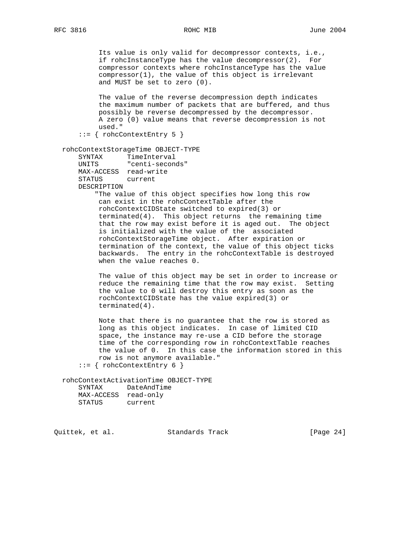Its value is only valid for decompressor contexts, i.e., if rohcInstanceType has the value decompressor(2). For compressor contexts where rohcInstanceType has the value compressor(1), the value of this object is irrelevant and MUST be set to zero (0).

 The value of the reverse decompression depth indicates the maximum number of packets that are buffered, and thus possibly be reverse decompressed by the decompressor. A zero (0) value means that reverse decompression is not used."

```
 ::= { rohcContextEntry 5 }
```
rohcContextStorageTime OBJECT-TYPE

```
 SYNTAX TimeInterval
 UNITS "centi-seconds"
 MAX-ACCESS read-write
STATUS
 DESCRIPTION
```
 "The value of this object specifies how long this row can exist in the rohcContextTable after the rohcContextCIDState switched to expired(3) or terminated(4). This object returns the remaining time that the row may exist before it is aged out. The object is initialized with the value of the associated rohcContextStorageTime object. After expiration or termination of the context, the value of this object ticks backwards. The entry in the rohcContextTable is destroyed when the value reaches 0.

 The value of this object may be set in order to increase or reduce the remaining time that the row may exist. Setting the value to 0 will destroy this entry as soon as the rochContextCIDState has the value expired(3) or terminated(4).

 Note that there is no guarantee that the row is stored as long as this object indicates. In case of limited CID space, the instance may re-use a CID before the storage time of the corresponding row in rohcContextTable reaches the value of 0. In this case the information stored in this row is not anymore available." ::= { rohcContextEntry 6 }

rohcContextActivationTime OBJECT-TYPE

| SYNTAX     | DateAndTime |
|------------|-------------|
| MAX-ACCESS | read-only   |
| STATUS     | current     |

Quittek, et al. Standards Track [Page 24]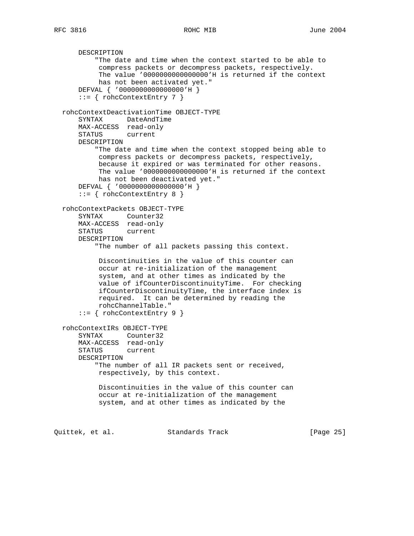```
 DESCRIPTION
           "The date and time when the context started to be able to
           compress packets or decompress packets, respectively.
           The value '0000000000000000'H is returned if the context
           has not been activated yet."
      DEFVAL { '0000000000000000'H }
      ::= { rohcContextEntry 7 }
  rohcContextDeactivationTime OBJECT-TYPE
      SYNTAX DateAndTime
      MAX-ACCESS read-only
      STATUS current
      DESCRIPTION
          "The date and time when the context stopped being able to
           compress packets or decompress packets, respectively,
           because it expired or was terminated for other reasons.
           The value '0000000000000000'H is returned if the context
           has not been deactivated yet."
      DEFVAL { '0000000000000000'H }
     ::= { rohcContextEntry 8 }
  rohcContextPackets OBJECT-TYPE
      SYNTAX Counter32
      MAX-ACCESS read-only
      STATUS current
      DESCRIPTION
           "The number of all packets passing this context.
           Discontinuities in the value of this counter can
           occur at re-initialization of the management
           system, and at other times as indicated by the
           value of ifCounterDiscontinuityTime. For checking
           ifCounterDiscontinuityTime, the interface index is
           required. It can be determined by reading the
           rohcChannelTable."
       ::= { rohcContextEntry 9 }
  rohcContextIRs OBJECT-TYPE
      SYNTAX Counter32
      MAX-ACCESS read-only
      STATUS current
      DESCRIPTION
          "The number of all IR packets sent or received,
           respectively, by this context.
           Discontinuities in the value of this counter can
           occur at re-initialization of the management
           system, and at other times as indicated by the
Quittek, et al. Standards Track [Page 25]
```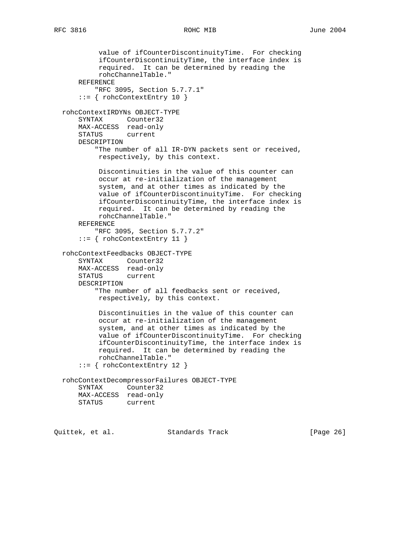```
RFC 3816 ROHC MIB June 2004
```

```
 value of ifCounterDiscontinuityTime. For checking
          ifCounterDiscontinuityTime, the interface index is
          required. It can be determined by reading the
          rohcChannelTable."
    REFERENCE
         "RFC 3095, Section 5.7.7.1"
     ::= { rohcContextEntry 10 }
 rohcContextIRDYNs OBJECT-TYPE
    SYNTAX Counter32
    MAX-ACCESS read-only
    STATUS current
    DESCRIPTION
        "The number of all IR-DYN packets sent or received,
         respectively, by this context.
         Discontinuities in the value of this counter can
         occur at re-initialization of the management
         system, and at other times as indicated by the
         value of ifCounterDiscontinuityTime. For checking
          ifCounterDiscontinuityTime, the interface index is
         required. It can be determined by reading the
         rohcChannelTable."
    REFERENCE
         "RFC 3095, Section 5.7.7.2"
     ::= { rohcContextEntry 11 }
 rohcContextFeedbacks OBJECT-TYPE
    SYNTAX Counter32
    MAX-ACCESS read-only
    STATUS current
    DESCRIPTION
         "The number of all feedbacks sent or received,
         respectively, by this context.
         Discontinuities in the value of this counter can
          occur at re-initialization of the management
          system, and at other times as indicated by the
          value of ifCounterDiscontinuityTime. For checking
          ifCounterDiscontinuityTime, the interface index is
          required. It can be determined by reading the
         rohcChannelTable."
     ::= { rohcContextEntry 12 }
 rohcContextDecompressorFailures OBJECT-TYPE
    SYNTAX Counter32
    MAX-ACCESS read-only
    STATUS current
```
Quittek, et al. Standards Track [Page 26]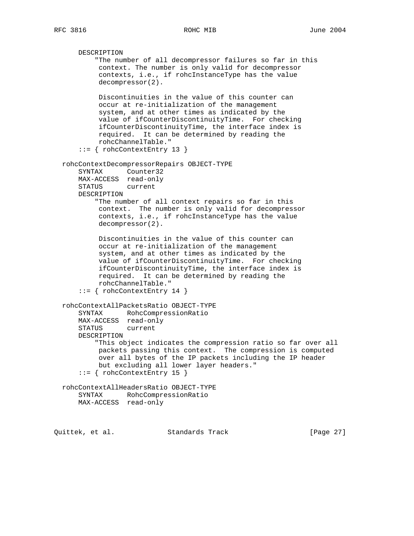```
 DESCRIPTION
         "The number of all decompressor failures so far in this
          context. The number is only valid for decompressor
          contexts, i.e., if rohcInstanceType has the value
          decompressor(2).
         Discontinuities in the value of this counter can
          occur at re-initialization of the management
          system, and at other times as indicated by the
          value of ifCounterDiscontinuityTime. For checking
          ifCounterDiscontinuityTime, the interface index is
          required. It can be determined by reading the
         rohcChannelTable."
     ::= { rohcContextEntry 13 }
 rohcContextDecompressorRepairs OBJECT-TYPE
    SYNTAX Counter32
    MAX-ACCESS read-only
    STATUS current
    DESCRIPTION
         "The number of all context repairs so far in this
         context. The number is only valid for decompressor
         contexts, i.e., if rohcInstanceType has the value
         decompressor(2).
         Discontinuities in the value of this counter can
          occur at re-initialization of the management
          system, and at other times as indicated by the
          value of ifCounterDiscontinuityTime. For checking
          ifCounterDiscontinuityTime, the interface index is
          required. It can be determined by reading the
          rohcChannelTable."
     ::= { rohcContextEntry 14 }
 rohcContextAllPacketsRatio OBJECT-TYPE
    SYNTAX RohcCompressionRatio
    MAX-ACCESS read-only
     STATUS current
    DESCRIPTION
         "This object indicates the compression ratio so far over all
          packets passing this context. The compression is computed
          over all bytes of the IP packets including the IP header
         but excluding all lower layer headers."
    ::= { rohcContextEntry 15 }
 rohcContextAllHeadersRatio OBJECT-TYPE
    SYNTAX RohcCompressionRatio
    MAX-ACCESS read-only
```
Quittek, et al. Standards Track [Page 27]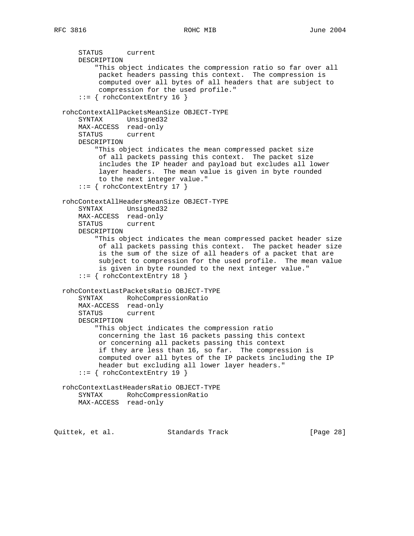STATUS current DESCRIPTION "This object indicates the compression ratio so far over all packet headers passing this context. The compression is computed over all bytes of all headers that are subject to compression for the used profile." ::= { rohcContextEntry 16 } rohcContextAllPacketsMeanSize OBJECT-TYPE SYNTAX Unsigned32 MAX-ACCESS read-only STATUS current DESCRIPTION "This object indicates the mean compressed packet size of all packets passing this context. The packet size includes the IP header and payload but excludes all lower layer headers. The mean value is given in byte rounded to the next integer value." ::= { rohcContextEntry 17 } rohcContextAllHeadersMeanSize OBJECT-TYPE SYNTAX Unsigned32 MAX-ACCESS read-only STATUS current DESCRIPTION "This object indicates the mean compressed packet header size of all packets passing this context. The packet header size is the sum of the size of all headers of a packet that are subject to compression for the used profile. The mean value is given in byte rounded to the next integer value." ::= { rohcContextEntry 18 } rohcContextLastPacketsRatio OBJECT-TYPE SYNTAX RohcCompressionRatio MAX-ACCESS read-only STATUS current DESCRIPTION "This object indicates the compression ratio concerning the last 16 packets passing this context or concerning all packets passing this context if they are less than 16, so far. The compression is computed over all bytes of the IP packets including the IP header but excluding all lower layer headers."  $::=$  { rohcContextEntry 19 } rohcContextLastHeadersRatio OBJECT-TYPE SYNTAX RohcCompressionRatio MAX-ACCESS read-only

Quittek, et al. Standards Track [Page 28]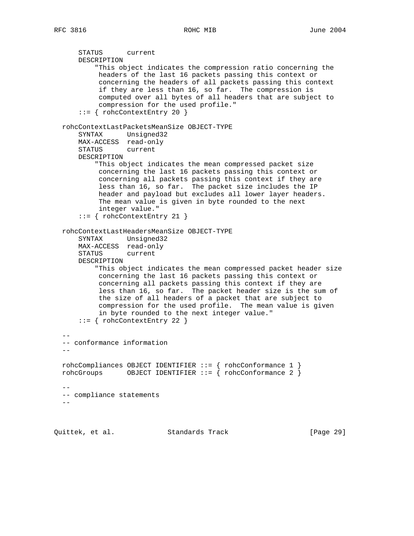```
 STATUS current
      DESCRIPTION
           "This object indicates the compression ratio concerning the
           headers of the last 16 packets passing this context or
           concerning the headers of all packets passing this context
           if they are less than 16, so far. The compression is
           computed over all bytes of all headers that are subject to
           compression for the used profile."
      ::= { rohcContextEntry 20 }
  rohcContextLastPacketsMeanSize OBJECT-TYPE
      SYNTAX Unsigned32
      MAX-ACCESS read-only
      STATUS current
      DESCRIPTION
          "This object indicates the mean compressed packet size
           concerning the last 16 packets passing this context or
           concerning all packets passing this context if they are
           less than 16, so far. The packet size includes the IP
           header and payload but excludes all lower layer headers.
           The mean value is given in byte rounded to the next
           integer value."
      ::= { rohcContextEntry 21 }
  rohcContextLastHeadersMeanSize OBJECT-TYPE
 SYNTAX Unsigned32
 MAX-ACCESS read-only
      STATUS current
      DESCRIPTION
          "This object indicates the mean compressed packet header size
           concerning the last 16 packets passing this context or
           concerning all packets passing this context if they are
           less than 16, so far. The packet header size is the sum of
           the size of all headers of a packet that are subject to
           compression for the used profile. The mean value is given
           in byte rounded to the next integer value."
      ::= { rohcContextEntry 22 }
- -- conformance information
- rohcCompliances OBJECT IDENTIFIER ::= { rohcConformance 1 }
  rohcGroups OBJECT IDENTIFIER ::= { rohcConformance 2 }
- -- compliance statements
  --
```
Quittek, et al. Standards Track [Page 29]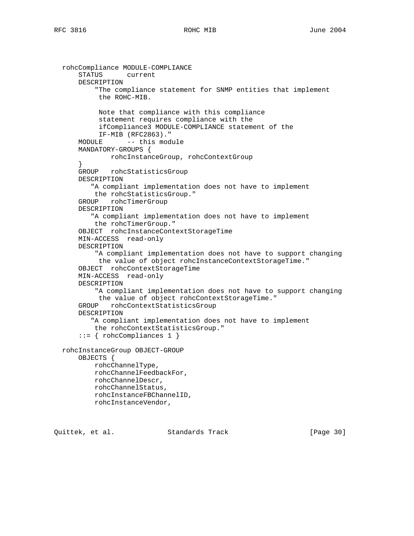```
 rohcCompliance MODULE-COMPLIANCE
     STATUS current
     DESCRIPTION
         "The compliance statement for SNMP entities that implement
         the ROHC-MIB.
          Note that compliance with this compliance
          statement requires compliance with the
          ifCompliance3 MODULE-COMPLIANCE statement of the
          IF-MIB (RFC2863)."
    MODULE -- this module
     MANDATORY-GROUPS {
            rohcInstanceGroup, rohcContextGroup
     }
     GROUP rohcStatisticsGroup
     DESCRIPTION
        "A compliant implementation does not have to implement
         the rohcStatisticsGroup."
     GROUP rohcTimerGroup
     DESCRIPTION
        "A compliant implementation does not have to implement
         the rohcTimerGroup."
     OBJECT rohcInstanceContextStorageTime
     MIN-ACCESS read-only
     DESCRIPTION
         "A compliant implementation does not have to support changing
          the value of object rohcInstanceContextStorageTime."
     OBJECT rohcContextStorageTime
     MIN-ACCESS read-only
     DESCRIPTION
         "A compliant implementation does not have to support changing
         the value of object rohcContextStorageTime."
     GROUP rohcContextStatisticsGroup
     DESCRIPTION
        "A compliant implementation does not have to implement
         the rohcContextStatisticsGroup."
     ::= { rohcCompliances 1 }
 rohcInstanceGroup OBJECT-GROUP
     OBJECTS {
        rohcChannelType,
        rohcChannelFeedbackFor,
        rohcChannelDescr,
        rohcChannelStatus,
        rohcInstanceFBChannelID,
        rohcInstanceVendor,
```
Quittek, et al. Standards Track [Page 30]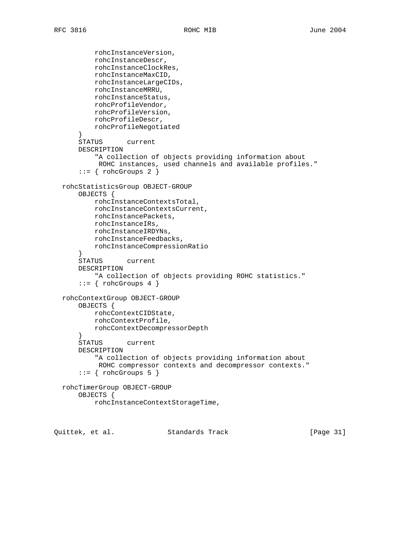```
 rohcInstanceVersion,
         rohcInstanceDescr,
         rohcInstanceClockRes,
         rohcInstanceMaxCID,
        rohcInstanceLargeCIDs,
        rohcInstanceMRRU,
        rohcInstanceStatus,
        rohcProfileVendor,
        rohcProfileVersion,
        rohcProfileDescr,
        rohcProfileNegotiated
     }
     STATUS current
     DESCRIPTION
         "A collection of objects providing information about
          ROHC instances, used channels and available profiles."
    ::= \{ rohcGroups 2 \} rohcStatisticsGroup OBJECT-GROUP
     OBJECTS {
        rohcInstanceContextsTotal,
        rohcInstanceContextsCurrent,
        rohcInstancePackets,
        rohcInstanceIRs,
        rohcInstanceIRDYNs,
        rohcInstanceFeedbacks,
        rohcInstanceCompressionRatio
     }
     STATUS current
     DESCRIPTION
         "A collection of objects providing ROHC statistics."
    ::= { rohcGroups 4 }
 rohcContextGroup OBJECT-GROUP
    OBJECTS {
        rohcContextCIDState,
        rohcContextProfile,
        rohcContextDecompressorDepth
     }
     STATUS current
     DESCRIPTION
         "A collection of objects providing information about
         ROHC compressor contexts and decompressor contexts."
    ::= { rohcGroups 5 }
 rohcTimerGroup OBJECT-GROUP
     OBJECTS {
         rohcInstanceContextStorageTime,
```
Quittek, et al. Standards Track [Page 31]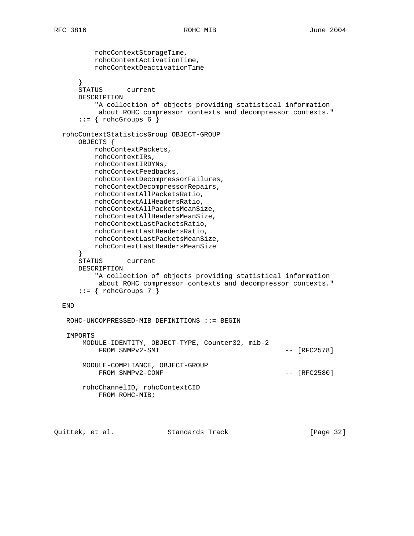```
 rohcContextStorageTime,
          rohcContextActivationTime,
          rohcContextDeactivationTime
 }
      STATUS current
      DESCRIPTION
          "A collection of objects providing statistical information
           about ROHC compressor contexts and decompressor contexts."
     ::= { rohcGroups 6 }
  rohcContextStatisticsGroup OBJECT-GROUP
      OBJECTS {
         rohcContextPackets,
          rohcContextIRs,
          rohcContextIRDYNs,
          rohcContextFeedbacks,
          rohcContextDecompressorFailures,
          rohcContextDecompressorRepairs,
          rohcContextAllPacketsRatio,
          rohcContextAllHeadersRatio,
         rohcContextAllPacketsMeanSize,
         rohcContextAllHeadersMeanSize,
         rohcContextLastPacketsRatio,
         rohcContextLastHeadersRatio,
          rohcContextLastPacketsMeanSize,
          rohcContextLastHeadersMeanSize
      }
      STATUS current
      DESCRIPTION
          "A collection of objects providing statistical information
           about ROHC compressor contexts and decompressor contexts."
     ::= { rohcGroups 7 }
  END
   ROHC-UNCOMPRESSED-MIB DEFINITIONS ::= BEGIN
   IMPORTS
       MODULE-IDENTITY, OBJECT-TYPE, Counter32, mib-2
          FROM SNMPv2-SMI --- [RFC2578]
       MODULE-COMPLIANCE, OBJECT-GROUP
         FROM SNMPv2-CONF --- [RFC2580]
       rohcChannelID, rohcContextCID
           FROM ROHC-MIB;
```
Quittek, et al. Standards Track [Page 32]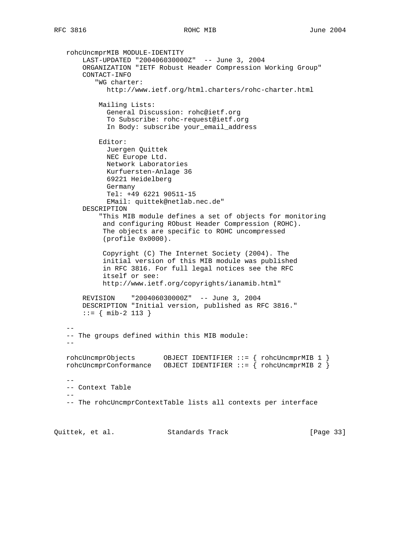rohcUncmprMIB MODULE-IDENTITY LAST-UPDATED "200406030000Z" -- June 3, 2004 ORGANIZATION "IETF Robust Header Compression Working Group" CONTACT-INFO "WG charter: http://www.ietf.org/html.charters/rohc-charter.html Mailing Lists: General Discussion: rohc@ietf.org To Subscribe: rohc-request@ietf.org In Body: subscribe your\_email\_address Editor: Juergen Quittek NEC Europe Ltd. Network Laboratories Kurfuersten-Anlage 36 69221 Heidelberg Germany Tel: +49 6221 90511-15 EMail: quittek@netlab.nec.de" DESCRIPTION "This MIB module defines a set of objects for monitoring and configuring RObust Header Compression (ROHC). The objects are specific to ROHC uncompressed (profile 0x0000). Copyright (C) The Internet Society (2004). The initial version of this MIB module was published in RFC 3816. For full legal notices see the RFC itself or see: http://www.ietf.org/copyrights/ianamib.html" REVISION "200406030000Z" -- June 3, 2004 DESCRIPTION "Initial version, published as RFC 3816." ::= { mib-2 113 } -- -- The groups defined within this MIB module:  $$  rohcUncmprObjects OBJECT IDENTIFIER ::= { rohcUncmprMIB 1 }  $rohcUncmprConformance$  OBJECT IDENTIFIER ::= { rohcUncmprMIB 2 } -- -- Context Table -- -- The rohcUncmprContextTable lists all contexts per interface

Quittek, et al. Standards Track [Page 33]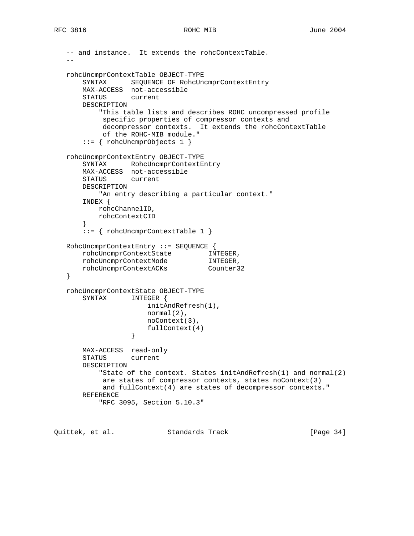```
 -- and instance. It extends the rohcContextTable.
 --
   rohcUncmprContextTable OBJECT-TYPE
       SYNTAX SEQUENCE OF RohcUncmprContextEntry
       MAX-ACCESS not-accessible
       STATUS current
       DESCRIPTION
           "This table lists and describes ROHC uncompressed profile
            specific properties of compressor contexts and
            decompressor contexts. It extends the rohcContextTable
            of the ROHC-MIB module."
       ::= { rohcUncmprObjects 1 }
   rohcUncmprContextEntry OBJECT-TYPE
       SYNTAX RohcUncmprContextEntry
       MAX-ACCESS not-accessible
       STATUS current
       DESCRIPTION
           "An entry describing a particular context."
       INDEX {
          rohcChannelID,
          rohcContextCID
       }
       ::= { rohcUncmprContextTable 1 }
   RohcUncmprContextEntry ::= SEQUENCE {
      rohcUncmprContextState INTEGER,<br>rohcUncmprContextMode INTEGER,
 rohcUncmprContextMode INTEGER,
 rohcUncmprContextACKs Counter32
   }
   rohcUncmprContextState OBJECT-TYPE
       SYNTAX INTEGER {
                       initAndRefresh(1),
                       normal(2),
                       noContext(3),
                  fullContext(4)<br>}
 }
       MAX-ACCESS read-only
       STATUS current
       DESCRIPTION
           "State of the context. States initAndRefresh(1) and normal(2)
           are states of compressor contexts, states noContext(3)
           and fullContext(4) are states of decompressor contexts."
       REFERENCE
           "RFC 3095, Section 5.10.3"
```
Quittek, et al. Standards Track [Page 34]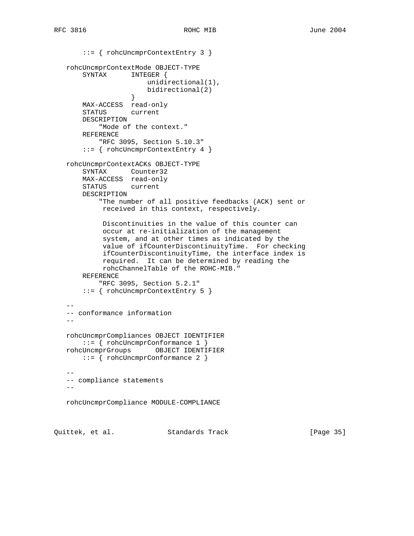::= { rohcUncmprContextEntry 3 } rohcUncmprContextMode OBJECT-TYPE SYNTAX INTEGER { unidirectional(1), bidirectional(2)<br>} } MAX-ACCESS read-only STATUS current DESCRIPTION "Mode of the context." REFERENCE "RFC 3095, Section 5.10.3" ::= { rohcUncmprContextEntry 4 } rohcUncmprContextACKs OBJECT-TYPE SYNTAX Counter32 MAX-ACCESS read-only STATUS current DESCRIPTION "The number of all positive feedbacks (ACK) sent or received in this context, respectively. Discontinuities in the value of this counter can occur at re-initialization of the management system, and at other times as indicated by the value of ifCounterDiscontinuityTime. For checking ifCounterDiscontinuityTime, the interface index is required. It can be determined by reading the rohcChannelTable of the ROHC-MIB." REFERENCE "RFC 3095, Section 5.2.1" ::= { rohcUncmprContextEntry 5 } -- -- conformance information - rohcUncmprCompliances OBJECT IDENTIFIER ::= { rohcUncmprConformance 1 } rohcUncmprGroups OBJECT IDENTIFIER ::= { rohcUncmprConformance 2 } -- -- compliance statements  $$ rohcUncmprCompliance MODULE-COMPLIANCE

Quittek, et al. Standards Track [Page 35]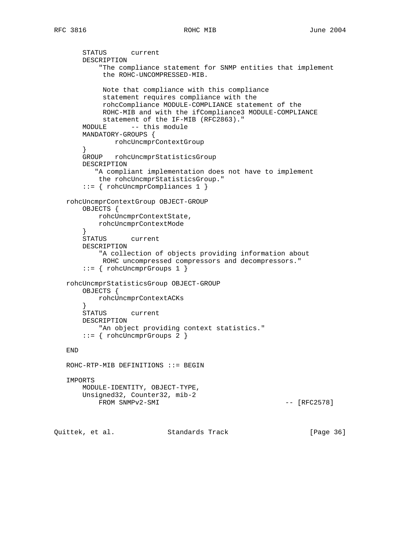```
 STATUS current
       DESCRIPTION
           "The compliance statement for SNMP entities that implement
            the ROHC-UNCOMPRESSED-MIB.
            Note that compliance with this compliance
            statement requires compliance with the
            rohcCompliance MODULE-COMPLIANCE statement of the
            ROHC-MIB and with the ifCompliance3 MODULE-COMPLIANCE
            statement of the IF-MIB (RFC2863)."
       MODULE -- this module
       MANDATORY-GROUPS {
              rohcUncmprContextGroup
 }
       GROUP rohcUncmprStatisticsGroup
       DESCRIPTION
          "A compliant implementation does not have to implement
           the rohcUncmprStatisticsGroup."
       ::= { rohcUncmprCompliances 1 }
   rohcUncmprContextGroup OBJECT-GROUP
       OBJECTS {
           rohcUncmprContextState,
           rohcUncmprContextMode
       }
       STATUS current
       DESCRIPTION
           "A collection of objects providing information about
            ROHC uncompressed compressors and decompressors."
       ::= { rohcUncmprGroups 1 }
   rohcUncmprStatisticsGroup OBJECT-GROUP
       OBJECTS {
           rohcUncmprContextACKs
       }
       STATUS current
       DESCRIPTION
          "An object providing context statistics."
       ::= { rohcUncmprGroups 2 }
   END
   ROHC-RTP-MIB DEFINITIONS ::= BEGIN
   IMPORTS
       MODULE-IDENTITY, OBJECT-TYPE,
       Unsigned32, Counter32, mib-2
          FROM SNMPv2-SMI - [RFC2578]
Quittek, et al. Standards Track [Page 36]
```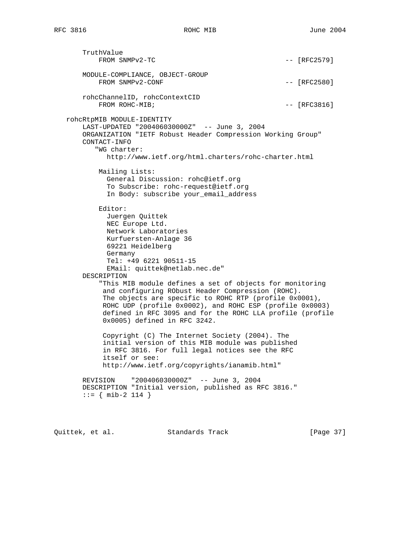TruthValue FROM SNMPv2-TC  $-$  [RFC2579] MODULE-COMPLIANCE, OBJECT-GROUP FROM SNMPv2-CONF  $---$  [RFC2580] rohcChannelID, rohcContextCID FROM ROHC-MIB;  $-$  [RFC3816] rohcRtpMIB MODULE-IDENTITY LAST-UPDATED "200406030000Z" -- June 3, 2004 ORGANIZATION "IETF Robust Header Compression Working Group" CONTACT-INFO "WG charter: http://www.ietf.org/html.charters/rohc-charter.html Mailing Lists: General Discussion: rohc@ietf.org To Subscribe: rohc-request@ietf.org In Body: subscribe your\_email\_address Editor: Juergen Quittek NEC Europe Ltd. Network Laboratories Kurfuersten-Anlage 36 69221 Heidelberg Germany Tel: +49 6221 90511-15 EMail: quittek@netlab.nec.de" DESCRIPTION "This MIB module defines a set of objects for monitoring and configuring RObust Header Compression (ROHC). The objects are specific to ROHC RTP (profile 0x0001), ROHC UDP (profile 0x0002), and ROHC ESP (profile 0x0003) defined in RFC 3095 and for the ROHC LLA profile (profile 0x0005) defined in RFC 3242. Copyright (C) The Internet Society (2004). The initial version of this MIB module was published in RFC 3816. For full legal notices see the RFC itself or see: http://www.ietf.org/copyrights/ianamib.html" REVISION "200406030000Z" -- June 3, 2004 DESCRIPTION "Initial version, published as RFC 3816."  $::=$  { mib-2 114 }

Quittek, et al. Standards Track [Page 37]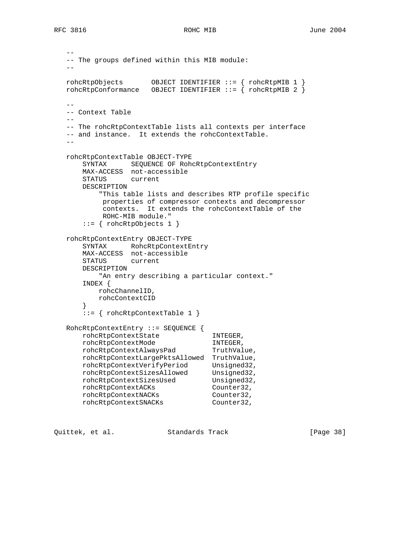```
 --
   -- The groups defined within this MIB module:
 --
 rohcRtpObjects OBJECT IDENTIFIER ::= { rohcRtpMIB 1 }
 rohcRtpConformance OBJECT IDENTIFIER ::= { rohcRtpMIB 2 }
  - - -- Context Table
  - -- The rohcRtpContextTable lists all contexts per interface
   -- and instance. It extends the rohcContextTable.
  - rohcRtpContextTable OBJECT-TYPE
      SYNTAX SEQUENCE OF RohcRtpContextEntry
      MAX-ACCESS not-accessible
      STATUS current
      DESCRIPTION
          "This table lists and describes RTP profile specific
          properties of compressor contexts and decompressor
          contexts. It extends the rohcContextTable of the
          ROHC-MIB module."
       ::= { rohcRtpObjects 1 }
   rohcRtpContextEntry OBJECT-TYPE
 SYNTAX RohcRtpContextEntry
 MAX-ACCESS not-accessible
      STATUS current
      DESCRIPTION
          "An entry describing a particular context."
       INDEX {
         rohcChannelID,
         rohcContextCID
       }
      ::= { rohcRtpContextTable 1 }
   RohcRtpContextEntry ::= SEQUENCE {
 rohcRtpContextState INTEGER,
 rohcRtpContextMode INTEGER,
rohcRtpContextAlwaysPad TruthValue,
      rohcRtpContextLargePktsAllowed TruthValue,
 rohcRtpContextVerifyPeriod Unsigned32,
rohcRtpContextSizesAllowed Unsigned32,
rohcRtpContextSizesUsed Unsigned32,
 rohcRtpContextACKs Counter32,
 rohcRtpContextNACKs Counter32,
 rohcRtpContextSNACKs Counter32,
```
Quittek, et al. Standards Track [Page 38]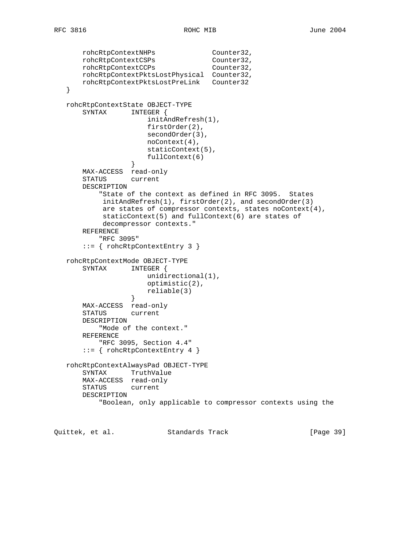```
 rohcRtpContextNHPs Counter32,
 rohcRtpContextCSPs Counter32,
 rohcRtpContextCCPs Counter32,
       rohcRtpContextPktsLostPhysical Counter32,
       rohcRtpContextPktsLostPreLink Counter32
   }
   rohcRtpContextState OBJECT-TYPE
       SYNTAX INTEGER {
                     initAndRefresh(1),
                     firstOrder(2),
                     secondOrder(3),
                     noContext(4),
                     staticContext(5),
                     fullContext(6)
 }
       MAX-ACCESS read-only
       STATUS current
       DESCRIPTION
          "State of the context as defined in RFC 3095. States
           initAndRefresh(1), firstOrder(2), and secondOrder(3)
           are states of compressor contexts, states noContext(4),
           staticContext(5) and fullContext(6) are states of
           decompressor contexts."
       REFERENCE
           "RFC 3095"
       ::= { rohcRtpContextEntry 3 }
   rohcRtpContextMode OBJECT-TYPE
      SYNTAX INTEGER {
                    unidirectional(1),
                     optimistic(2),
                     reliable(3)
 }
       MAX-ACCESS read-only
       STATUS current
       DESCRIPTION
          "Mode of the context."
       REFERENCE
          "RFC 3095, Section 4.4"
       ::= { rohcRtpContextEntry 4 }
   rohcRtpContextAlwaysPad OBJECT-TYPE
       SYNTAX TruthValue
       MAX-ACCESS read-only
       STATUS current
       DESCRIPTION
           "Boolean, only applicable to compressor contexts using the
```
Quittek, et al. Standards Track [Page 39]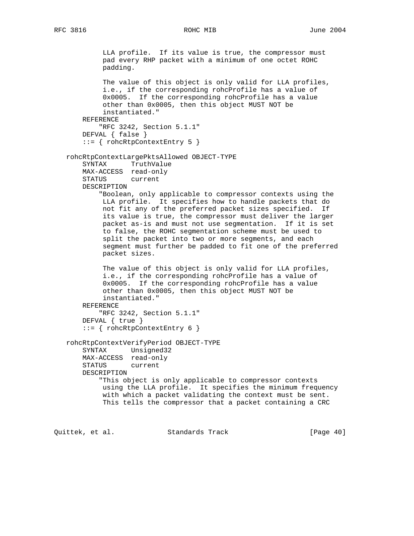LLA profile. If its value is true, the compressor must pad every RHP packet with a minimum of one octet ROHC padding. The value of this object is only valid for LLA profiles, i.e., if the corresponding rohcProfile has a value of 0x0005. If the corresponding rohcProfile has a value other than 0x0005, then this object MUST NOT be instantiated." REFERENCE "RFC 3242, Section 5.1.1" DEFVAL { false } ::= { rohcRtpContextEntry 5 } rohcRtpContextLargePktsAllowed OBJECT-TYPE SYNTAX TruthValue MAX-ACCESS read-only STATUS current DESCRIPTION "Boolean, only applicable to compressor contexts using the LLA profile. It specifies how to handle packets that do not fit any of the preferred packet sizes specified. If its value is true, the compressor must deliver the larger packet as-is and must not use segmentation. If it is set to false, the ROHC segmentation scheme must be used to split the packet into two or more segments, and each segment must further be padded to fit one of the preferred packet sizes. The value of this object is only valid for LLA profiles, i.e., if the corresponding rohcProfile has a value of 0x0005. If the corresponding rohcProfile has a value other than 0x0005, then this object MUST NOT be instantiated." REFERENCE "RFC 3242, Section 5.1.1" DEFVAL { true } ::= { rohcRtpContextEntry 6 } rohcRtpContextVerifyPeriod OBJECT-TYPE SYNTAX Unsigned32 MAX-ACCESS read-only STATUS current DESCRIPTION "This object is only applicable to compressor contexts using the LLA profile. It specifies the minimum frequency with which a packet validating the context must be sent. This tells the compressor that a packet containing a CRC

Quittek, et al. Standards Track [Page 40]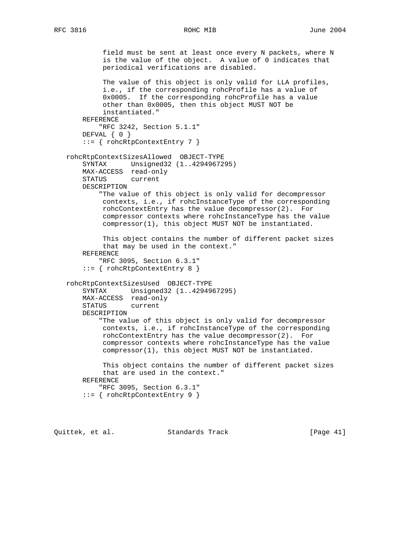```
 field must be sent at least once every N packets, where N
          is the value of the object. A value of 0 indicates that
          periodical verifications are disabled.
          The value of this object is only valid for LLA profiles,
          i.e., if the corresponding rohcProfile has a value of
          0x0005. If the corresponding rohcProfile has a value
          other than 0x0005, then this object MUST NOT be
          instantiated."
    REFERENCE
         "RFC 3242, Section 5.1.1"
   DEFVAL { 0 }
     ::= { rohcRtpContextEntry 7 }
 rohcRtpContextSizesAllowed OBJECT-TYPE
    SYNTAX Unsigned32 (1..4294967295)
    MAX-ACCESS read-only
    STATUS current
    DESCRIPTION
         "The value of this object is only valid for decompressor
         contexts, i.e., if rohcInstanceType of the corresponding
         rohcContextEntry has the value decompressor(2). For
         compressor contexts where rohcInstanceType has the value
         compressor(1), this object MUST NOT be instantiated.
          This object contains the number of different packet sizes
         that may be used in the context."
    REFERENCE
         "RFC 3095, Section 6.3.1"
     ::= { rohcRtpContextEntry 8 }
 rohcRtpContextSizesUsed OBJECT-TYPE
    SYNTAX Unsigned32 (1..4294967295)
    MAX-ACCESS read-only
    STATUS current
    DESCRIPTION
         "The value of this object is only valid for decompressor
         contexts, i.e., if rohcInstanceType of the corresponding
         rohcContextEntry has the value decompressor(2). For
          compressor contexts where rohcInstanceType has the value
          compressor(1), this object MUST NOT be instantiated.
          This object contains the number of different packet sizes
         that are used in the context."
    REFERENCE
         "RFC 3095, Section 6.3.1"
     ::= { rohcRtpContextEntry 9 }
```
Quittek, et al. Standards Track [Page 41]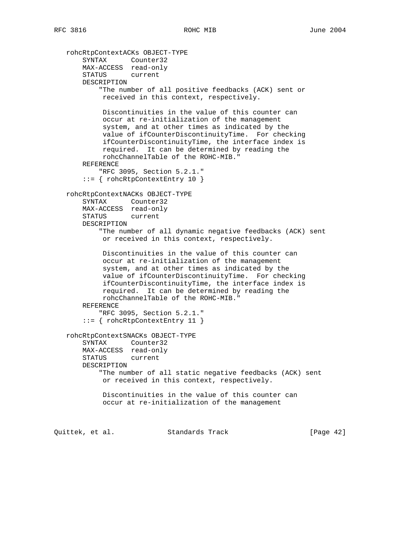```
 rohcRtpContextACKs OBJECT-TYPE
 SYNTAX Counter32
 MAX-ACCESS read-only
       STATUS current
       DESCRIPTION
            "The number of all positive feedbacks (ACK) sent or
            received in this context, respectively.
            Discontinuities in the value of this counter can
            occur at re-initialization of the management
            system, and at other times as indicated by the
            value of ifCounterDiscontinuityTime. For checking
            ifCounterDiscontinuityTime, the interface index is
            required. It can be determined by reading the
            rohcChannelTable of the ROHC-MIB."
       REFERENCE
           "RFC 3095, Section 5.2.1."
        ::= { rohcRtpContextEntry 10 }
   rohcRtpContextNACKs OBJECT-TYPE
       SYNTAX Counter32
       MAX-ACCESS read-only
       STATUS current
       DESCRIPTION
           "The number of all dynamic negative feedbacks (ACK) sent
            or received in this context, respectively.
            Discontinuities in the value of this counter can
            occur at re-initialization of the management
            system, and at other times as indicated by the
            value of ifCounterDiscontinuityTime. For checking
            ifCounterDiscontinuityTime, the interface index is
            required. It can be determined by reading the
            rohcChannelTable of the ROHC-MIB."
       REFERENCE
           "RFC 3095, Section 5.2.1."
        ::= { rohcRtpContextEntry 11 }
   rohcRtpContextSNACKs OBJECT-TYPE
       SYNTAX Counter32
       MAX-ACCESS read-only
       STATUS current
       DESCRIPTION
           "The number of all static negative feedbacks (ACK) sent
            or received in this context, respectively.
            Discontinuities in the value of this counter can
            occur at re-initialization of the management
Quittek, et al. Standards Track [Page 42]
```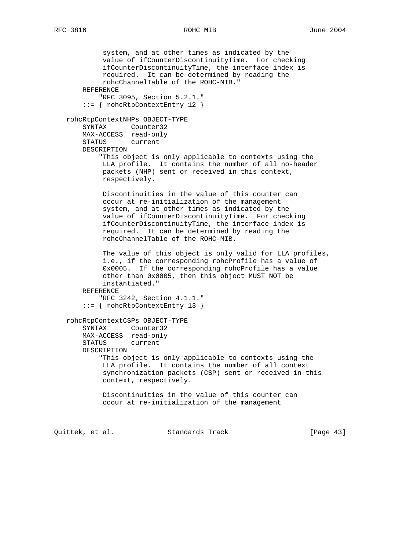system, and at other times as indicated by the value of ifCounterDiscontinuityTime. For checking ifCounterDiscontinuityTime, the interface index is required. It can be determined by reading the rohcChannelTable of the ROHC-MIB." REFERENCE "RFC 3095, Section 5.2.1." ::= { rohcRtpContextEntry 12 } rohcRtpContextNHPs OBJECT-TYPE SYNTAX Counter32 MAX-ACCESS read-only STATUS current DESCRIPTION "This object is only applicable to contexts using the LLA profile. It contains the number of all no-header packets (NHP) sent or received in this context, respectively. Discontinuities in the value of this counter can occur at re-initialization of the management system, and at other times as indicated by the value of ifCounterDiscontinuityTime. For checking ifCounterDiscontinuityTime, the interface index is required. It can be determined by reading the rohcChannelTable of the ROHC-MIB. The value of this object is only valid for LLA profiles, i.e., if the corresponding rohcProfile has a value of 0x0005. If the corresponding rohcProfile has a value other than 0x0005, then this object MUST NOT be instantiated." REFERENCE "RFC 3242, Section 4.1.1." ::= { rohcRtpContextEntry 13 } rohcRtpContextCSPs OBJECT-TYPE SYNTAX Counter32 MAX-ACCESS read-only STATUS current DESCRIPTION "This object is only applicable to contexts using the LLA profile. It contains the number of all context synchronization packets (CSP) sent or received in this context, respectively. Discontinuities in the value of this counter can occur at re-initialization of the management Quittek, et al. Standards Track [Page 43]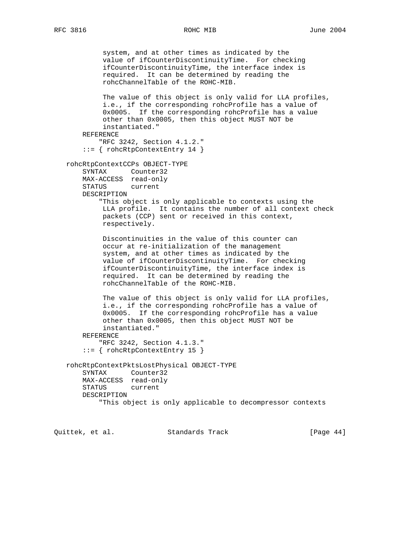system, and at other times as indicated by the value of ifCounterDiscontinuityTime. For checking ifCounterDiscontinuityTime, the interface index is required. It can be determined by reading the rohcChannelTable of the ROHC-MIB. The value of this object is only valid for LLA profiles, i.e., if the corresponding rohcProfile has a value of 0x0005. If the corresponding rohcProfile has a value other than 0x0005, then this object MUST NOT be instantiated." REFERENCE "RFC 3242, Section 4.1.2." ::= { rohcRtpContextEntry 14 } rohcRtpContextCCPs OBJECT-TYPE SYNTAX Counter32 MAX-ACCESS read-only STATUS current DESCRIPTION "This object is only applicable to contexts using the LLA profile. It contains the number of all context check packets (CCP) sent or received in this context, respectively. Discontinuities in the value of this counter can occur at re-initialization of the management system, and at other times as indicated by the value of ifCounterDiscontinuityTime. For checking ifCounterDiscontinuityTime, the interface index is required. It can be determined by reading the rohcChannelTable of the ROHC-MIB. The value of this object is only valid for LLA profiles, i.e., if the corresponding rohcProfile has a value of 0x0005. If the corresponding rohcProfile has a value other than 0x0005, then this object MUST NOT be instantiated." REFERENCE "RFC 3242, Section 4.1.3." ::= { rohcRtpContextEntry 15 } rohcRtpContextPktsLostPhysical OBJECT-TYPE SYNTAX Counter32 MAX-ACCESS read-only STATUS current DESCRIPTION "This object is only applicable to decompressor contexts

Quittek, et al. Standards Track [Page 44]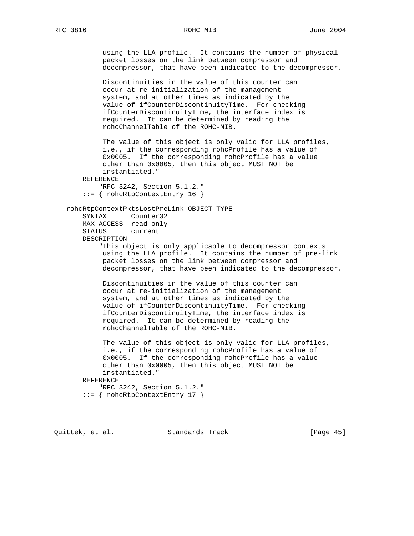```
 using the LLA profile. It contains the number of physical
          packet losses on the link between compressor and
          decompressor, that have been indicated to the decompressor.
          Discontinuities in the value of this counter can
          occur at re-initialization of the management
          system, and at other times as indicated by the
          value of ifCounterDiscontinuityTime. For checking
          ifCounterDiscontinuityTime, the interface index is
          required. It can be determined by reading the
          rohcChannelTable of the ROHC-MIB.
          The value of this object is only valid for LLA profiles,
          i.e., if the corresponding rohcProfile has a value of
          0x0005. If the corresponding rohcProfile has a value
          other than 0x0005, then this object MUST NOT be
          instantiated."
    REFERENCE
         "RFC 3242, Section 5.1.2."
     ::= { rohcRtpContextEntry 16 }
 rohcRtpContextPktsLostPreLink OBJECT-TYPE
    SYNTAX Counter32
    MAX-ACCESS read-only
    STATUS current
    DESCRIPTION
         "This object is only applicable to decompressor contexts
          using the LLA profile. It contains the number of pre-link
          packet losses on the link between compressor and
          decompressor, that have been indicated to the decompressor.
          Discontinuities in the value of this counter can
          occur at re-initialization of the management
          system, and at other times as indicated by the
          value of ifCounterDiscontinuityTime. For checking
          ifCounterDiscontinuityTime, the interface index is
          required. It can be determined by reading the
          rohcChannelTable of the ROHC-MIB.
          The value of this object is only valid for LLA profiles,
          i.e., if the corresponding rohcProfile has a value of
          0x0005. If the corresponding rohcProfile has a value
          other than 0x0005, then this object MUST NOT be
          instantiated."
     REFERENCE
         "RFC 3242, Section 5.1.2."
     ::= { rohcRtpContextEntry 17 }
```
Quittek, et al. Standards Track [Page 45]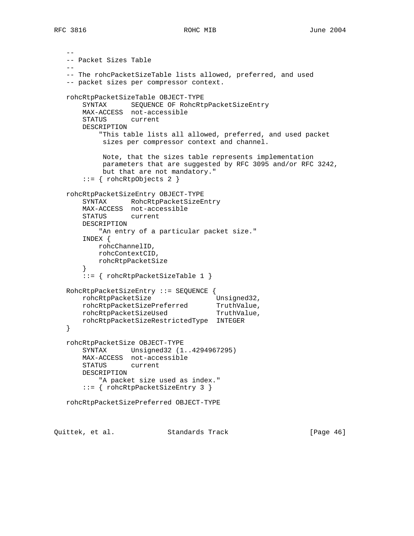```
 --
   -- Packet Sizes Table
 --
   -- The rohcPacketSizeTable lists allowed, preferred, and used
   -- packet sizes per compressor context.
   rohcRtpPacketSizeTable OBJECT-TYPE
       SYNTAX SEQUENCE OF RohcRtpPacketSizeEntry
       MAX-ACCESS not-accessible
       STATUS current
       DESCRIPTION
           "This table lists all allowed, preferred, and used packet
           sizes per compressor context and channel.
            Note, that the sizes table represents implementation
            parameters that are suggested by RFC 3095 and/or RFC 3242,
           but that are not mandatory."
       ::= { rohcRtpObjects 2 }
   rohcRtpPacketSizeEntry OBJECT-TYPE
       SYNTAX RohcRtpPacketSizeEntry
       MAX-ACCESS not-accessible
       STATUS current
       DESCRIPTION
          "An entry of a particular packet size."
       INDEX {
           rohcChannelID,
           rohcContextCID,
          rohcRtpPacketSize
       }
       ::= { rohcRtpPacketSizeTable 1 }
   RohcRtpPacketSizeEntry ::= SEQUENCE {
rohcRtpPacketSize Unsigned32,
 rohcRtpPacketSizePreferred TruthValue,
rohcRtpPacketSizeUsed TruthValue,
       rohcRtpPacketSizeRestrictedType INTEGER
   }
   rohcRtpPacketSize OBJECT-TYPE
       SYNTAX Unsigned32 (1..4294967295)
       MAX-ACCESS not-accessible
       STATUS current
       DESCRIPTION
           "A packet size used as index."
       ::= { rohcRtpPacketSizeEntry 3 }
   rohcRtpPacketSizePreferred OBJECT-TYPE
```
Quittek, et al. Standards Track [Page 46]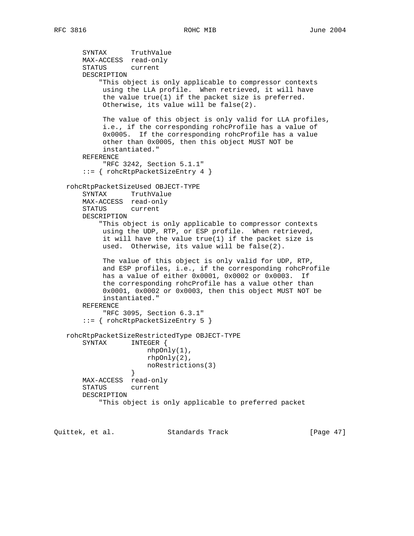```
 SYNTAX TruthValue
       MAX-ACCESS read-only
       STATUS current
       DESCRIPTION
            "This object is only applicable to compressor contexts
            using the LLA profile. When retrieved, it will have
            the value true(1) if the packet size is preferred.
            Otherwise, its value will be false(2).
            The value of this object is only valid for LLA profiles,
            i.e., if the corresponding rohcProfile has a value of
            0x0005. If the corresponding rohcProfile has a value
            other than 0x0005, then this object MUST NOT be
            instantiated."
       REFERENCE
            "RFC 3242, Section 5.1.1"
       ::= { rohcRtpPacketSizeEntry 4 }
   rohcRtpPacketSizeUsed OBJECT-TYPE
       SYNTAX TruthValue
       MAX-ACCESS read-only
       STATUS current
       DESCRIPTION
           "This object is only applicable to compressor contexts
            using the UDP, RTP, or ESP profile. When retrieved,
            it will have the value true(1) if the packet size is
            used. Otherwise, its value will be false(2).
            The value of this object is only valid for UDP, RTP,
            and ESP profiles, i.e., if the corresponding rohcProfile
            has a value of either 0x0001, 0x0002 or 0x0003. If
            the corresponding rohcProfile has a value other than
            0x0001, 0x0002 or 0x0003, then this object MUST NOT be
            instantiated."
       REFERENCE
            "RFC 3095, Section 6.3.1"
       ::= { rohcRtpPacketSizeEntry 5 }
   rohcRtpPacketSizeRestrictedType OBJECT-TYPE
       SYNTAX INTEGER {
                      nhpOnly(1),
                       rhpOnly(2),
                       noRestrictions(3)
 }
       MAX-ACCESS read-only
       STATUS current
       DESCRIPTION
            "This object is only applicable to preferred packet
```
Quittek, et al. Standards Track [Page 47]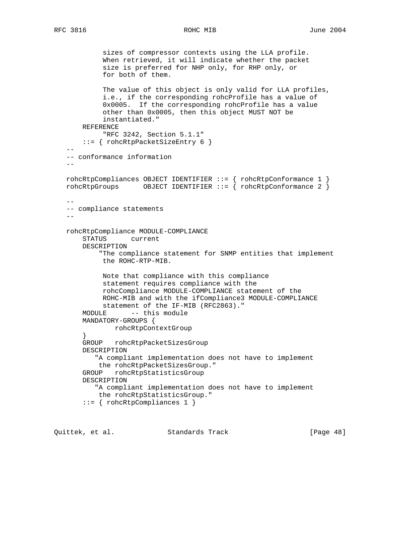sizes of compressor contexts using the LLA profile. When retrieved, it will indicate whether the packet size is preferred for NHP only, for RHP only, or for both of them. The value of this object is only valid for LLA profiles, i.e., if the corresponding rohcProfile has a value of 0x0005. If the corresponding rohcProfile has a value other than 0x0005, then this object MUST NOT be instantiated." REFERENCE "RFC 3242, Section 5.1.1" ::= { rohcRtpPacketSizeEntry 6 } -- -- conformance information - rohcRtpCompliances OBJECT IDENTIFIER ::= { rohcRtpConformance 1 } rohcRtpGroups OBJECT IDENTIFIER ::= { rohcRtpConformance 2 } -- -- compliance statements  $$  rohcRtpCompliance MODULE-COMPLIANCE STATUS current DESCRIPTION "The compliance statement for SNMP entities that implement the ROHC-RTP-MIB. Note that compliance with this compliance statement requires compliance with the rohcCompliance MODULE-COMPLIANCE statement of the ROHC-MIB and with the ifCompliance3 MODULE-COMPLIANCE statement of the IF-MIB (RFC2863)." MODULE -- this module MANDATORY-GROUPS { rohcRtpContextGroup } GROUP rohcRtpPacketSizesGroup DESCRIPTION "A compliant implementation does not have to implement the rohcRtpPacketSizesGroup." GROUP rohcRtpStatisticsGroup DESCRIPTION "A compliant implementation does not have to implement the rohcRtpStatisticsGroup." ::= { rohcRtpCompliances 1 }

Quittek, et al. Standards Track [Page 48]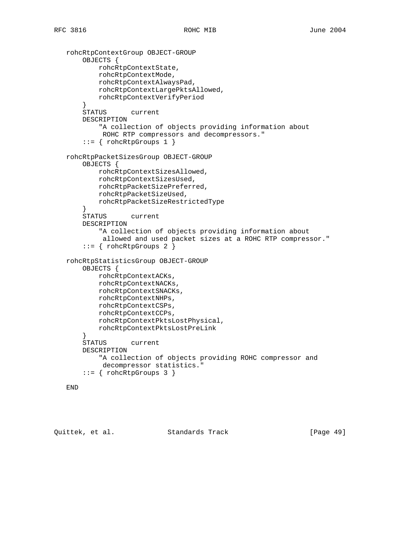```
 rohcRtpContextGroup OBJECT-GROUP
     OBJECTS {
         rohcRtpContextState,
         rohcRtpContextMode,
         rohcRtpContextAlwaysPad,
         rohcRtpContextLargePktsAllowed,
         rohcRtpContextVerifyPeriod
     }
     STATUS current
     DESCRIPTION
         "A collection of objects providing information about
         ROHC RTP compressors and decompressors."
     ::= { rohcRtpGroups 1 }
 rohcRtpPacketSizesGroup OBJECT-GROUP
     OBJECTS {
         rohcRtpContextSizesAllowed,
         rohcRtpContextSizesUsed,
         rohcRtpPacketSizePreferred,
         rohcRtpPacketSizeUsed,
         rohcRtpPacketSizeRestrictedType
     }
     STATUS current
     DESCRIPTION
         "A collection of objects providing information about
          allowed and used packet sizes at a ROHC RTP compressor."
    ::= { rohcRtpGroups 2 }
 rohcRtpStatisticsGroup OBJECT-GROUP
     OBJECTS {
         rohcRtpContextACKs,
         rohcRtpContextNACKs,
         rohcRtpContextSNACKs,
         rohcRtpContextNHPs,
         rohcRtpContextCSPs,
         rohcRtpContextCCPs,
         rohcRtpContextPktsLostPhysical,
         rohcRtpContextPktsLostPreLink
     }
     STATUS current
     DESCRIPTION
         "A collection of objects providing ROHC compressor and
         decompressor statistics."
    ::= { rohcRtpGroups 3 }
```

```
 END
```
Quittek, et al. Standards Track [Page 49]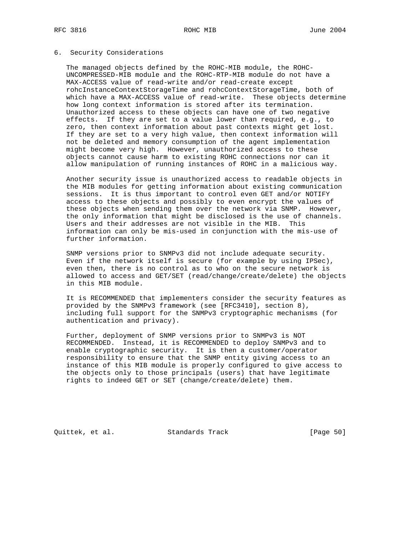## 6. Security Considerations

 The managed objects defined by the ROHC-MIB module, the ROHC- UNCOMPRESSED-MIB module and the ROHC-RTP-MIB module do not have a MAX-ACCESS value of read-write and/or read-create except rohcInstanceContextStorageTime and rohcContextStorageTime, both of which have a MAX-ACCESS value of read-write. These objects determine how long context information is stored after its termination. Unauthorized access to these objects can have one of two negative effects. If they are set to a value lower than required, e.g., to zero, then context information about past contexts might get lost. If they are set to a very high value, then context information will not be deleted and memory consumption of the agent implementation might become very high. However, unauthorized access to these objects cannot cause harm to existing ROHC connections nor can it allow manipulation of running instances of ROHC in a malicious way.

 Another security issue is unauthorized access to readable objects in the MIB modules for getting information about existing communication sessions. It is thus important to control even GET and/or NOTIFY access to these objects and possibly to even encrypt the values of these objects when sending them over the network via SNMP. However, the only information that might be disclosed is the use of channels. Users and their addresses are not visible in the MIB. This information can only be mis-used in conjunction with the mis-use of further information.

 SNMP versions prior to SNMPv3 did not include adequate security. Even if the network itself is secure (for example by using IPSec), even then, there is no control as to who on the secure network is allowed to access and GET/SET (read/change/create/delete) the objects in this MIB module.

 It is RECOMMENDED that implementers consider the security features as provided by the SNMPv3 framework (see [RFC3410], section 8), including full support for the SNMPv3 cryptographic mechanisms (for authentication and privacy).

 Further, deployment of SNMP versions prior to SNMPv3 is NOT RECOMMENDED. Instead, it is RECOMMENDED to deploy SNMPv3 and to enable cryptographic security. It is then a customer/operator responsibility to ensure that the SNMP entity giving access to an instance of this MIB module is properly configured to give access to the objects only to those principals (users) that have legitimate rights to indeed GET or SET (change/create/delete) them.

Quittek, et al. Standards Track [Page 50]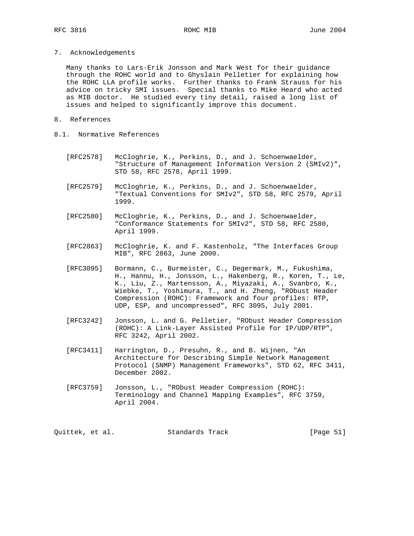7. Acknowledgements

 Many thanks to Lars-Erik Jonsson and Mark West for their guidance through the ROHC world and to Ghyslain Pelletier for explaining how the ROHC LLA profile works. Further thanks to Frank Strauss for his advice on tricky SMI issues. Special thanks to Mike Heard who acted as MIB doctor. He studied every tiny detail, raised a long list of issues and helped to significantly improve this document.

- 8. References
- 8.1. Normative References
	- [RFC2578] McCloghrie, K., Perkins, D., and J. Schoenwaelder, "Structure of Management Information Version 2 (SMIv2)", STD 58, RFC 2578, April 1999.
	- [RFC2579] McCloghrie, K., Perkins, D., and J. Schoenwaelder, "Textual Conventions for SMIv2", STD 58, RFC 2579, April 1999.
	- [RFC2580] McCloghrie, K., Perkins, D., and J. Schoenwaelder, "Conformance Statements for SMIv2", STD 58, RFC 2580, April 1999.
	- [RFC2863] McCloghrie, K. and F. Kastenholz, "The Interfaces Group MIB", RFC 2863, June 2000.
	- [RFC3095] Bormann, C., Burmeister, C., Degermark, M., Fukushima, H., Hannu, H., Jonsson, L., Hakenberg, R., Koren, T., Le, K., Liu, Z., Martensson, A., Miyazaki, A., Svanbro, K., Wiebke, T., Yoshimura, T., and H. Zheng, "RObust Header Compression (ROHC): Framework and four profiles: RTP, UDP, ESP, and uncompressed", RFC 3095, July 2001.
	- [RFC3242] Jonsson, L. and G. Pelletier, "RObust Header Compression (ROHC): A Link-Layer Assisted Profile for IP/UDP/RTP", RFC 3242, April 2002.
	- [RFC3411] Harrington, D., Presuhn, R., and B. Wijnen, "An Architecture for Describing Simple Network Management Protocol (SNMP) Management Frameworks", STD 62, RFC 3411, December 2002.
	- [RFC3759] Jonsson, L., "RObust Header Compression (ROHC): Terminology and Channel Mapping Examples", RFC 3759, April 2004.

Quittek, et al. Standards Track [Page 51]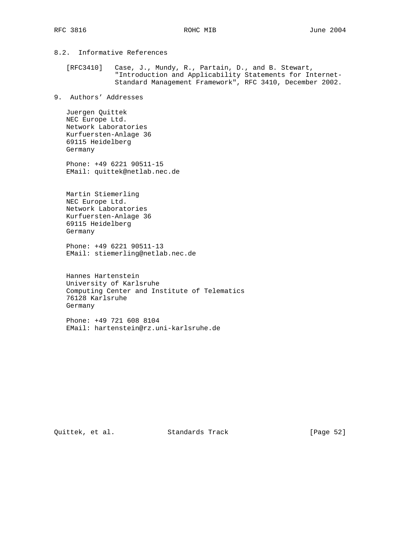8.2. Informative References

 [RFC3410] Case, J., Mundy, R., Partain, D., and B. Stewart, "Introduction and Applicability Statements for Internet- Standard Management Framework", RFC 3410, December 2002.

9. Authors' Addresses

 Juergen Quittek NEC Europe Ltd. Network Laboratories Kurfuersten-Anlage 36 69115 Heidelberg Germany

 Phone: +49 6221 90511-15 EMail: quittek@netlab.nec.de

 Martin Stiemerling NEC Europe Ltd. Network Laboratories Kurfuersten-Anlage 36 69115 Heidelberg Germany

 Phone: +49 6221 90511-13 EMail: stiemerling@netlab.nec.de

 Hannes Hartenstein University of Karlsruhe Computing Center and Institute of Telematics 76128 Karlsruhe Germany

 Phone: +49 721 608 8104 EMail: hartenstein@rz.uni-karlsruhe.de

Quittek, et al. Standards Track [Page 52]